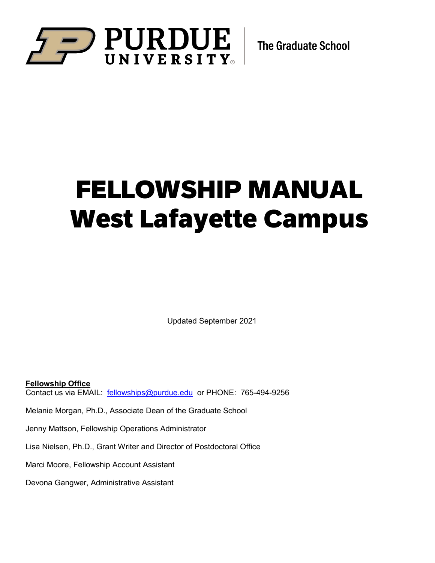

# FELLOWSHIP MANUAL West Lafayette Campus

Updated September 2021

**Fellowship Office** Contact us via EMAIL: [fellowships@purdue.edu](mailto:fellowships@purdue.edu) or PHONE: 765-494-9256

Melanie Morgan, Ph.D., Associate Dean of the Graduate School

Jenny Mattson, Fellowship Operations Administrator

Lisa Nielsen, Ph.D., Grant Writer and Director of Postdoctoral Office

Marci Moore, Fellowship Account Assistant

Devona Gangwer, Administrative Assistant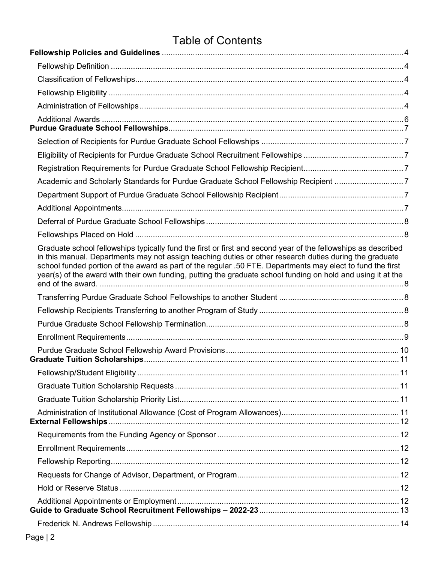# Table of Contents

| Academic and Scholarly Standards for Purdue Graduate School Fellowship Recipient 7                                                                                                                                                                                                                                                                                                                                                                     |  |
|--------------------------------------------------------------------------------------------------------------------------------------------------------------------------------------------------------------------------------------------------------------------------------------------------------------------------------------------------------------------------------------------------------------------------------------------------------|--|
|                                                                                                                                                                                                                                                                                                                                                                                                                                                        |  |
|                                                                                                                                                                                                                                                                                                                                                                                                                                                        |  |
|                                                                                                                                                                                                                                                                                                                                                                                                                                                        |  |
|                                                                                                                                                                                                                                                                                                                                                                                                                                                        |  |
| Graduate school fellowships typically fund the first or first and second year of the fellowships as described<br>in this manual. Departments may not assign teaching duties or other research duties during the graduate<br>school funded portion of the award as part of the regular .50 FTE. Departments may elect to fund the first<br>year(s) of the award with their own funding, putting the graduate school funding on hold and using it at the |  |
|                                                                                                                                                                                                                                                                                                                                                                                                                                                        |  |
|                                                                                                                                                                                                                                                                                                                                                                                                                                                        |  |
|                                                                                                                                                                                                                                                                                                                                                                                                                                                        |  |
|                                                                                                                                                                                                                                                                                                                                                                                                                                                        |  |
|                                                                                                                                                                                                                                                                                                                                                                                                                                                        |  |
|                                                                                                                                                                                                                                                                                                                                                                                                                                                        |  |
|                                                                                                                                                                                                                                                                                                                                                                                                                                                        |  |
|                                                                                                                                                                                                                                                                                                                                                                                                                                                        |  |
|                                                                                                                                                                                                                                                                                                                                                                                                                                                        |  |
| <b>External Fellowships</b>                                                                                                                                                                                                                                                                                                                                                                                                                            |  |
|                                                                                                                                                                                                                                                                                                                                                                                                                                                        |  |
|                                                                                                                                                                                                                                                                                                                                                                                                                                                        |  |
|                                                                                                                                                                                                                                                                                                                                                                                                                                                        |  |
|                                                                                                                                                                                                                                                                                                                                                                                                                                                        |  |
|                                                                                                                                                                                                                                                                                                                                                                                                                                                        |  |
|                                                                                                                                                                                                                                                                                                                                                                                                                                                        |  |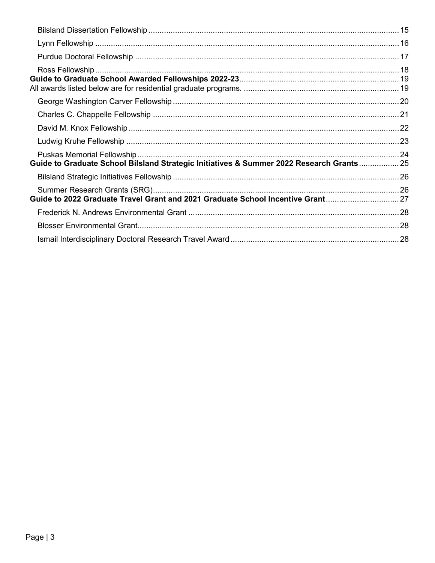| Guide to Graduate School Bilsland Strategic Initiatives & Summer 2022 Research Grants 25 |  |
|------------------------------------------------------------------------------------------|--|
|                                                                                          |  |
| Guide to 2022 Graduate Travel Grant and 2021 Graduate School Incentive Grant27           |  |
|                                                                                          |  |
|                                                                                          |  |
|                                                                                          |  |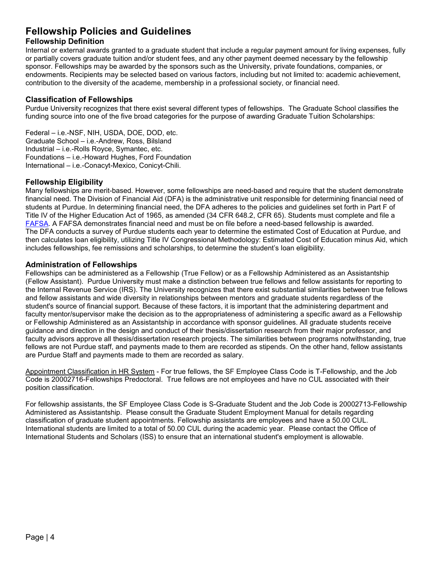# <span id="page-3-0"></span>**Fellowship Policies and Guidelines**

# <span id="page-3-1"></span>**Fellowship Definition**

Internal or external awards granted to a graduate student that include a regular payment amount for living expenses, fully or partially covers graduate tuition and/or student fees, and any other payment deemed necessary by the fellowship sponsor. Fellowships may be awarded by the sponsors such as the University, private foundations, companies, or endowments. Recipients may be selected based on various factors, including but not limited to: academic achievement, contribution to the diversity of the academe, membership in a professional society, or financial need.

#### <span id="page-3-2"></span>**Classification of Fellowships**

Purdue University recognizes that there exist several different types of fellowships. The Graduate School classifies the funding source into one of the five broad categories for the purpose of awarding Graduate Tuition Scholarships:

Federal – i.e.-NSF, NIH, USDA, DOE, DOD, etc. Graduate School – i.e.-Andrew, Ross, Bilsland Industrial – i.e.-Rolls Royce, Symantec, etc. Foundations – i.e.-Howard Hughes, Ford Foundation International – i.e.-Conacyt-Mexico, Conicyt-Chili.

# <span id="page-3-3"></span>**Fellowship Eligibility**

Many fellowships are merit-based. However, some fellowships are need-based and require that the student demonstrate financial need. The Division of Financial Aid (DFA) is the administrative unit responsible for determining financial need of students at Purdue. In determining financial need, the DFA adheres to the policies and guidelines set forth in Part F of Title IV of the Higher Education Act of 1965, as amended (34 CFR 648.2, CFR 65). Students must complete and file a [FAFSA.](http://www.fafsa.ed.gov/) A FAFSA demonstrates financial need and must be on file before a need-based fellowship is awarded. The DFA conducts a survey of Purdue students each year to determine the estimated Cost of Education at Purdue, and then calculates loan eligibility, utilizing Title IV Congressional Methodology: Estimated Cost of Education minus Aid, which includes fellowships, fee remissions and scholarships, to determine the student's loan eligibility.

#### <span id="page-3-4"></span>**Administration of Fellowships**

Fellowships can be administered as a Fellowship (True Fellow) or as a Fellowship Administered as an Assistantship (Fellow Assistant). Purdue University must make a distinction between true fellows and fellow assistants for reporting to the Internal Revenue Service (IRS). The University recognizes that there exist substantial similarities between true fellows and fellow assistants and wide diversity in relationships between mentors and graduate students regardless of the student's source of financial support. Because of these factors, it is important that the administering department and faculty mentor/supervisor make the decision as to the appropriateness of administering a specific award as a Fellowship or Fellowship Administered as an Assistantship in accordance with sponsor guidelines. All graduate students receive guidance and direction in the design and conduct of their thesis/dissertation research from their major professor, and faculty advisors approve all thesis/dissertation research projects. The similarities between programs notwithstanding, true fellows are not Purdue staff, and payments made to them are recorded as stipends. On the other hand, fellow assistants are Purdue Staff and payments made to them are recorded as salary.

Appointment Classification in HR System - For true fellows, the SF Employee Class Code is T-Fellowship, and the Job Code is 20002716-Fellowships Predoctoral. True fellows are not employees and have no CUL associated with their position classification.

For fellowship assistants, the SF Employee Class Code is S-Graduate Student and the Job Code is 20002713-Fellowship Administered as Assistantship. Please consult the Graduate Student Employment Manual for details regarding classification of graduate student appointments. Fellowship assistants are employees and have a 50.00 CUL. International students are limited to a total of 50.00 CUL during the academic year. Please contact the Office of International Students and Scholars (ISS) to ensure that an international student's employment is allowable.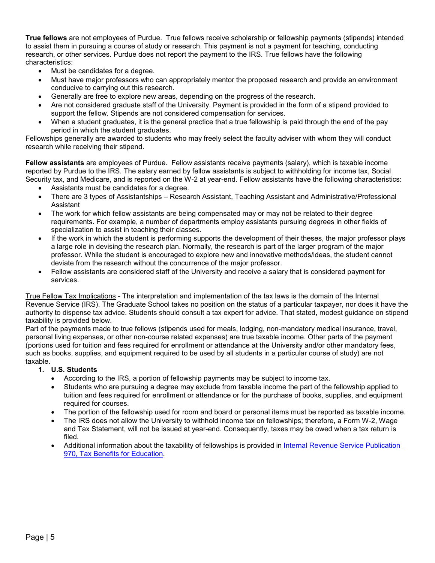**True fellows** are not employees of Purdue. True fellows receive scholarship or fellowship payments (stipends) intended to assist them in pursuing a course of study or research. This payment is not a payment for teaching, conducting research, or other services. Purdue does not report the payment to the IRS. True fellows have the following characteristics:

- Must be candidates for a degree.
- Must have major professors who can appropriately mentor the proposed research and provide an environment conducive to carrying out this research.
- Generally are free to explore new areas, depending on the progress of the research.
- Are not considered graduate staff of the University. Payment is provided in the form of a stipend provided to support the fellow. Stipends are not considered compensation for services.
- When a student graduates, it is the general practice that a true fellowship is paid through the end of the pay period in which the student graduates.

Fellowships generally are awarded to students who may freely select the faculty adviser with whom they will conduct research while receiving their stipend.

**Fellow assistants** are employees of Purdue. Fellow assistants receive payments (salary), which is taxable income reported by Purdue to the IRS. The salary earned by fellow assistants is subject to withholding for income tax, Social Security tax, and Medicare, and is reported on the W-2 at year-end. Fellow assistants have the following characteristics:

- Assistants must be candidates for a degree.
- There are 3 types of Assistantships Research Assistant, Teaching Assistant and Administrative/Professional Assistant
- The work for which fellow assistants are being compensated may or may not be related to their degree requirements. For example, a number of departments employ assistants pursuing degrees in other fields of specialization to assist in teaching their classes.
- If the work in which the student is performing supports the development of their theses, the major professor plays a large role in devising the research plan. Normally, the research is part of the larger program of the major professor. While the student is encouraged to explore new and innovative methods/ideas, the student cannot deviate from the research without the concurrence of the major professor.
- Fellow assistants are considered staff of the University and receive a salary that is considered payment for services.

True Fellow Tax Implications - The interpretation and implementation of the tax laws is the domain of the Internal Revenue Service (IRS). The Graduate School takes no position on the status of a particular taxpayer, nor does it have the authority to dispense tax advice. Students should consult a tax expert for advice. That stated, modest guidance on stipend taxability is provided below.

Part of the payments made to true fellows (stipends used for meals, lodging, non-mandatory medical insurance, travel, personal living expenses, or other non-course related expenses) are true taxable income. Other parts of the payment (portions used for tuition and fees required for enrollment or attendance at the University and/or other mandatory fees, such as books, supplies, and equipment required to be used by all students in a particular course of study) are not taxable.

#### **1. U.S. Students**

- According to the IRS, a portion of fellowship payments may be subject to income tax.
- Students who are pursuing a degree may exclude from taxable income the part of the fellowship applied to tuition and fees required for enrollment or attendance or for the purchase of books, supplies, and equipment required for courses.
- The portion of the fellowship used for room and board or personal items must be reported as taxable income.
- The IRS does not allow the University to withhold income tax on fellowships; therefore, a Form W-2, Wage and Tax Statement, will not be issued at year-end. Consequently, taxes may be owed when a tax return is filed.
- Additional information about the taxability of fellowships is provided in [Internal Revenue](http://www.irs.gov/pub/irs-pdf/p970.pdf) Service Publication [970, Tax Benefits for Education.](http://www.irs.gov/pub/irs-pdf/p970.pdf)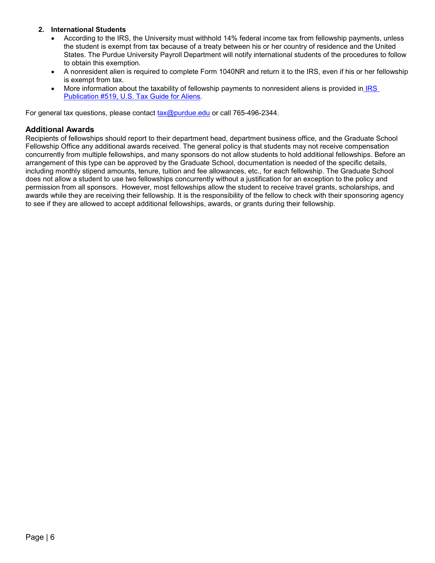#### **2. International Students**

- According to the IRS, the University must withhold 14% federal income tax from fellowship payments, unless the student is exempt from tax because of a treaty between his or her country of residence and the United States. The Purdue University Payroll Department will notify international students of the procedures to follow to obtain this exemption.
- A nonresident alien is required to complete Form 1040NR and return it to the IRS, even if his or her fellowship is exempt from tax.
- More information about the taxability of fellowship payments to nonresident aliens is provided in [IRS](https://www.irs.gov/forms-pubs/about-publication-970)  [Publication #519, U.S. Tax Guide for Aliens.](https://www.irs.gov/forms-pubs/about-publication-970)

For general tax questions, please contact [tax@purdue.edu](mailto:tax@purdue.edu) or call 765-496-2344.

#### <span id="page-5-0"></span>**Additional Awards**

Recipients of fellowships should report to their department head, department business office, and the Graduate School Fellowship Office any additional awards received. The general policy is that students may not receive compensation concurrently from multiple fellowships, and many sponsors do not allow students to hold additional fellowships. Before an arrangement of this type can be approved by the Graduate School, documentation is needed of the specific details, including monthly stipend amounts, tenure, tuition and fee allowances, etc., for each fellowship. The Graduate School does not allow a student to use two fellowships concurrently without a justification for an exception to the policy and permission from all sponsors. However, most fellowships allow the student to receive travel grants, scholarships, and awards while they are receiving their fellowship. It is the responsibility of the fellow to check with their sponsoring agency to see if they are allowed to accept additional fellowships, awards, or grants during their fellowship.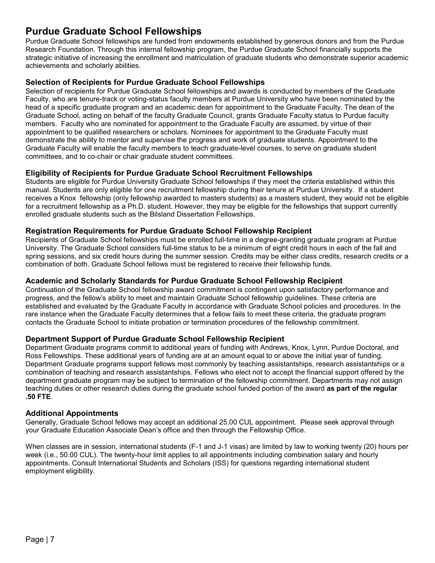# <span id="page-6-0"></span>**Purdue Graduate School Fellowships**

Purdue Graduate School fellowships are funded from endowments established by generous donors and from the Purdue Research Foundation. Through this internal fellowship program, the Purdue Graduate School financially supports the strategic initiative of increasing the enrollment and matriculation of graduate students who demonstrate superior academic achievements and scholarly abilities.

# <span id="page-6-1"></span>**Selection of Recipients for Purdue Graduate School Fellowships**

Selection of recipients for Purdue Graduate School fellowships and awards is conducted by members of the Graduate Faculty, who are tenure-track or voting-status faculty members at Purdue University who have been nominated by the head of a specific graduate program and an academic dean for appointment to the Graduate Faculty. The dean of the Graduate School, acting on behalf of the faculty Graduate Council, grants Graduate Faculty status to Purdue faculty members. Faculty who are nominated for appointment to the Graduate Faculty are assumed, by virtue of their appointment to be qualified researchers or scholars. Nominees for appointment to the Graduate Faculty must demonstrate the ability to mentor and supervise the progress and work of graduate students. Appointment to the Graduate Faculty will enable the faculty members to teach graduate-level courses, to serve on graduate student committees, and to co-chair or chair graduate student committees.

#### <span id="page-6-2"></span>**Eligibility of Recipients for Purdue Graduate School Recruitment Fellowships**

Students are eligible for Purdue University Graduate School fellowships if they meet the criteria established within this manual. Students are only eligible for one recruitment fellowship during their tenure at Purdue University. If a student receives a Knox fellowship (only fellowship awarded to masters students) as a masters student, they would not be eligible for a recruitment fellowship as a Ph.D. student. However, they may be eligible for the fellowships that support currently enrolled graduate students such as the Bilsland Dissertation Fellowships.

#### <span id="page-6-3"></span>**Registration Requirements for Purdue Graduate School Fellowship Recipient**

Recipients of Graduate School fellowships must be enrolled full-time in a degree-granting graduate program at Purdue University. The Graduate School considers full-time status to be a minimum of eight credit hours in each of the fall and spring sessions, and six credit hours during the summer session. Credits may be either class credits, research credits or a combination of both. Graduate School fellows must be registered to receive their fellowship funds.

#### <span id="page-6-4"></span>**Academic and Scholarly Standards for Purdue Graduate School Fellowship Recipient**

Continuation of the Graduate School fellowship award commitment is contingent upon satisfactory performance and progress, and the fellow's ability to meet and maintain Graduate School fellowship guidelines. These criteria are established and evaluated by the Graduate Faculty in accordance with Graduate School policies and procedures. In the rare instance when the Graduate Faculty determines that a fellow fails to meet these criteria, the graduate program contacts the Graduate School to initiate probation or termination procedures of the fellowship commitment.

# <span id="page-6-5"></span>**Department Support of Purdue Graduate School Fellowship Recipient**

Department Graduate programs commit to additional years of funding with Andrews, Knox, Lynn, Purdue Doctoral, and Ross Fellowships. These additional years of funding are at an amount equal to or above the initial year of funding. Department Graduate programs support fellows most commonly by teaching assistantships, research assistantships or a combination of teaching and research assistantships. Fellows who elect not to accept the financial support offered by the department graduate program may be subject to termination of the fellowship commitment. Departments may not assign teaching duties or other research duties during the graduate school funded portion of the award **as part of the regular .50 FTE**.

#### <span id="page-6-6"></span>**Additional Appointments**

Generally, Graduate School fellows may accept an additional 25.00 CUL appointment. Please seek approval through your Graduate Education Associate Dean's office and then through the Fellowship Office.

When classes are in session, international students (F-1 and J-1 visas) are limited by law to working twenty (20) hours per week (i.e., 50.00 CUL). The twenty-hour limit applies to all appointments including combination salary and hourly appointments. Consult International Students and Scholars (ISS) for questions regarding international student employment eligibility.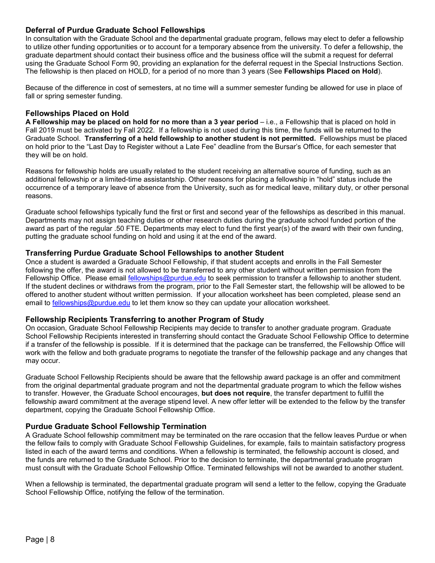## <span id="page-7-0"></span>**Deferral of Purdue Graduate School Fellowships**

In consultation with the Graduate School and the departmental graduate program, fellows may elect to defer a fellowship to utilize other funding opportunities or to account for a temporary absence from the university. To defer a fellowship, the graduate department should contact their business office and the business office will the submit a request for deferral using the Graduate School Form 90, providing an explanation for the deferral request in the Special Instructions Section. The fellowship is then placed on HOLD, for a period of no more than 3 years (See **Fellowships Placed on Hold**).

Because of the difference in cost of semesters, at no time will a summer semester funding be allowed for use in place of fall or spring semester funding.

#### <span id="page-7-1"></span>**Fellowships Placed on Hold**

**A Fellowship may be placed on hold for no more than a 3 year period** – i.e., a Fellowship that is placed on hold in Fall 2019 must be activated by Fall 2022. If a fellowship is not used during this time, the funds will be returned to the Graduate School. **Transferring of a held fellowship to another student is not permitted.** Fellowships must be placed on hold prior to the "Last Day to Register without a Late Fee" deadline from the Bursar's Office, for each semester that they will be on hold.

Reasons for fellowship holds are usually related to the student receiving an alternative source of funding, such as an additional fellowship or a limited-time assistantship. Other reasons for placing a fellowship in "hold" status include the occurrence of a temporary leave of absence from the University, such as for medical leave, military duty, or other personal reasons.

<span id="page-7-2"></span>Graduate school fellowships typically fund the first or first and second year of the fellowships as described in this manual. Departments may not assign teaching duties or other research duties during the graduate school funded portion of the award as part of the regular .50 FTE. Departments may elect to fund the first year(s) of the award with their own funding, putting the graduate school funding on hold and using it at the end of the award.

#### <span id="page-7-3"></span>**Transferring Purdue Graduate School Fellowships to another Student**

Once a student is awarded a Graduate School Fellowship, if that student accepts and enrolls in the Fall Semester following the offer, the award is not allowed to be transferred to any other student without written permission from the Fellowship Office. Please email [fellowships@purdue.edu](mailto:fellowships@purdue.edu) to seek permission to transfer a fellowship to another student. If the student declines or withdraws from the program, prior to the Fall Semester start, the fellowship will be allowed to be offered to another student without written permission. If your allocation worksheet has been completed, please send an email to [fellowships@purdue.edu](mailto:fellowships@purdue.edu) to let them know so they can update your allocation worksheet.

#### <span id="page-7-4"></span>**Fellowship Recipients Transferring to another Program of Study**

On occasion, Graduate School Fellowship Recipients may decide to transfer to another graduate program. Graduate School Fellowship Recipients interested in transferring should contact the Graduate School Fellowship Office to determine if a transfer of the fellowship is possible. If it is determined that the package can be transferred, the Fellowship Office will work with the fellow and both graduate programs to negotiate the transfer of the fellowship package and any changes that may occur.

Graduate School Fellowship Recipients should be aware that the fellowship award package is an offer and commitment from the original departmental graduate program and not the departmental graduate program to which the fellow wishes to transfer. However, the Graduate School encourages, **but does not require**, the transfer department to fulfill the fellowship award commitment at the average stipend level. A new offer letter will be extended to the fellow by the transfer department, copying the Graduate School Fellowship Office.

#### <span id="page-7-5"></span>**Purdue Graduate School Fellowship Termination**

A Graduate School fellowship commitment may be terminated on the rare occasion that the fellow leaves Purdue or when the fellow fails to comply with Graduate School Fellowship Guidelines, for example, fails to maintain satisfactory progress listed in each of the award terms and conditions. When a fellowship is terminated, the fellowship account is closed, and the funds are returned to the Graduate School. Prior to the decision to terminate, the departmental graduate program must consult with the Graduate School Fellowship Office. Terminated fellowships will not be awarded to another student.

When a fellowship is terminated, the departmental graduate program will send a letter to the fellow, copying the Graduate School Fellowship Office, notifying the fellow of the termination.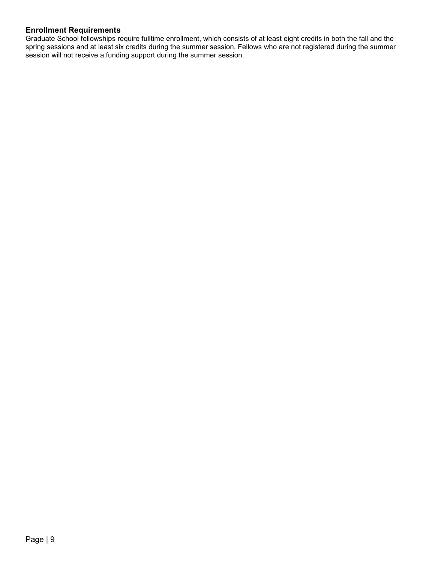# <span id="page-8-0"></span>**Enrollment Requirements**

Graduate School fellowships require fulltime enrollment, which consists of at least eight credits in both the fall and the spring sessions and at least six credits during the summer session. Fellows who are not registered during the summer session will not receive a funding support during the summer session.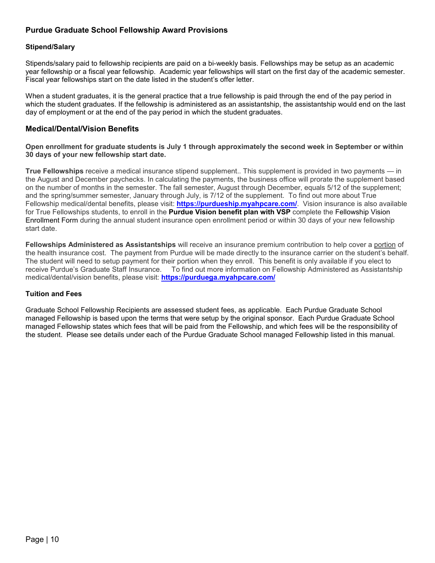# <span id="page-9-0"></span>**Purdue Graduate School Fellowship Award Provisions**

#### **Stipend/Salary**

Stipends/salary paid to fellowship recipients are paid on a bi-weekly basis. Fellowships may be setup as an academic year fellowship or a fiscal year fellowship. Academic year fellowships will start on the first day of the academic semester. Fiscal year fellowships start on the date listed in the student's offer letter.

When a student graduates, it is the general practice that a true fellowship is paid through the end of the pay period in which the student graduates. If the fellowship is administered as an assistantship, the assistantship would end on the last day of employment or at the end of the pay period in which the student graduates.

#### **Medical/Dental/Vision Benefits**

Open enrollment for graduate students is July 1 through approximately the second week in September or within **30 days of your new fellowship start date.**

**True Fellowships** receive a medical insurance stipend supplement.. This supplement is provided in two payments — in the August and December paychecks. In calculating the payments, the business office will prorate the supplement based on the number of months in the semester. The fall semester, August through December, equals 5/12 of the supplement; and the spring/summer semester, January through July, is 7/12 of the supplement. To find out more about True Fellowship medical/dental benefits, please visit: **<https://purdueship.myahpcare.com/>**. Vision insurance is also available for True Fellowships students, to enroll in the **[Purdue](https://www.purdue.edu/hr/Benefits/gradstaff/pdf/VSP_Grad_Fellows_2019-2020%20_Vision_Benefits_Summary.pdf) Vision benefit plan with VSP** complete the [Fellowship](https://na2.docusign.net/Member/PowerFormSigning.aspx?PowerFormId=23158134-b4a5-4e6c-9842-7b0790643713&env=na2&acct=9ad6adfd-6804-409b-91bc-173cbee909f9) Vision [Enrollment](https://na2.docusign.net/Member/PowerFormSigning.aspx?PowerFormId=23158134-b4a5-4e6c-9842-7b0790643713&env=na2&acct=9ad6adfd-6804-409b-91bc-173cbee909f9) Form during the annual student insurance open enrollment period or within 30 days of your new fellowship start date.

**Fellowships Administered as Assistantships** will receive an insurance premium contribution to help cover a portion of the health insurance cost. The payment from Purdue will be made directly to the insurance carrier on the student's behalf. The student will need to setup payment for their portion when they enroll. This benefit is only available if you elect to receive Purdue's Graduate Staff Insurance. To find out more information on Fellowship Administered as Assistantship medical/dental/vision benefits, please visit: **<https://purduega.myahpcare.com/>**

#### **Tuition and Fees**

Graduate School Fellowship Recipients are assessed student fees, as applicable. Each Purdue Graduate School managed Fellowship is based upon the terms that were setup by the original sponsor. Each Purdue Graduate School managed Fellowship states which fees that will be paid from the Fellowship, and which fees will be the responsibility of the student. Please see details under each of the Purdue Graduate School managed Fellowship listed in this manual.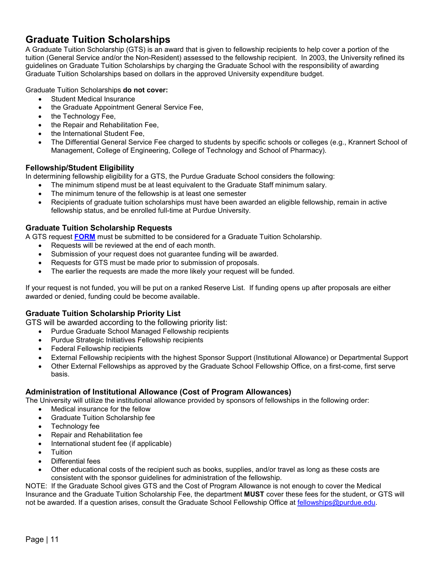# <span id="page-10-0"></span>**Graduate Tuition Scholarships**

A Graduate Tuition Scholarship (GTS) is an award that is given to fellowship recipients to help cover a portion of the tuition (General Service and/or the Non-Resident) assessed to the fellowship recipient. In 2003, the University refined its guidelines on Graduate Tuition Scholarships by charging the Graduate School with the responsibility of awarding Graduate Tuition Scholarships based on dollars in the approved University expenditure budget.

Graduate Tuition Scholarships **do not cover:** 

- Student Medical Insurance
- the Graduate Appointment General Service Fee,
- the Technology Fee,
- the Repair and Rehabilitation Fee,
- the International Student Fee.
- The Differential General Service Fee charged to students by specific schools or colleges (e.g., Krannert School of Management, College of Engineering, College of Technology and School of Pharmacy).

# <span id="page-10-1"></span>**Fellowship/Student Eligibility**

In determining fellowship eligibility for a GTS, the Purdue Graduate School considers the following:

- The minimum stipend must be at least equivalent to the Graduate Staff minimum salary.
- The minimum tenure of the fellowship is at least one semester
- Recipients of graduate tuition scholarships must have been awarded an eligible fellowship, remain in active fellowship status, and be enrolled full-time at Purdue University.

# <span id="page-10-2"></span>**Graduate Tuition Scholarship Requests**

A GTS request **[FORM](https://purdue.ca1.qualtrics.com/jfe/form/SV_3eD3LoxlGSvVAR7)** must be submitted to be considered for a Graduate Tuition Scholarship.

- Requests will be reviewed at the end of each month.
- Submission of your request does not guarantee funding will be awarded.
- Requests for GTS must be made prior to submission of proposals.
- The earlier the requests are made the more likely your request will be funded.

If your request is not funded, you will be put on a ranked Reserve List. If funding opens up after proposals are either awarded or denied, funding could be become available.

# <span id="page-10-3"></span>**Graduate Tuition Scholarship Priority List**

GTS will be awarded according to the following priority list:

- Purdue Graduate School Managed Fellowship recipients
- Purdue Strategic Initiatives Fellowship recipients
- Federal Fellowship recipients
- External Fellowship recipients with the highest Sponsor Support (Institutional Allowance) or Departmental Support
- Other External Fellowships as approved by the Graduate School Fellowship Office, on a first-come, first serve basis.

# <span id="page-10-4"></span>**Administration of Institutional Allowance (Cost of Program Allowances)**

The University will utilize the institutional allowance provided by sponsors of fellowships in the following order:

- Medical insurance for the fellow
- Graduate Tuition Scholarship fee
- Technology fee
- Repair and Rehabilitation fee
- International student fee (if applicable)
- Tuition
- Differential fees
- Other educational costs of the recipient such as books, supplies, and/or travel as long as these costs are consistent with the sponsor guidelines for administration of the fellowship.

NOTE: If the Graduate School gives GTS and the Cost of Program Allowance is not enough to cover the Medical Insurance and the Graduate Tuition Scholarship Fee, the department **MUST** cover these fees for the student, or GTS will not be awarded. If a question arises, consult the Graduate School Fellowship Office at [fellowships@purdue.edu.](mailto:fellowships@purdue.edu)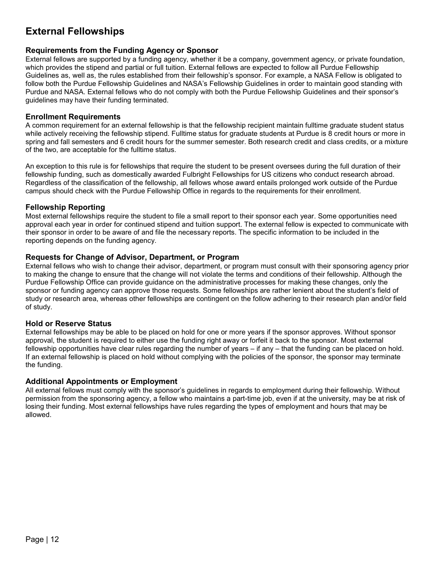# <span id="page-11-0"></span>**External Fellowships**

#### <span id="page-11-1"></span>**Requirements from the Funding Agency or Sponsor**

External fellows are supported by a funding agency, whether it be a company, government agency, or private foundation, which provides the stipend and partial or full tuition. External fellows are expected to follow all Purdue Fellowship Guidelines as, well as, the rules established from their fellowship's sponsor. For example, a NASA Fellow is obligated to follow both the Purdue Fellowship Guidelines and NASA's Fellowship Guidelines in order to maintain good standing with Purdue and NASA. External fellows who do not comply with both the Purdue Fellowship Guidelines and their sponsor's guidelines may have their funding terminated.

#### <span id="page-11-2"></span>**Enrollment Requirements**

A common requirement for an external fellowship is that the fellowship recipient maintain fulltime graduate student status while actively receiving the fellowship stipend. Fulltime status for graduate students at Purdue is 8 credit hours or more in spring and fall semesters and 6 credit hours for the summer semester. Both research credit and class credits, or a mixture of the two, are acceptable for the fulltime status.

An exception to this rule is for fellowships that require the student to be present oversees during the full duration of their fellowship funding, such as domestically awarded Fulbright Fellowships for US citizens who conduct research abroad. Regardless of the classification of the fellowship, all fellows whose award entails prolonged work outside of the Purdue campus should check with the Purdue Fellowship Office in regards to the requirements for their enrollment.

#### <span id="page-11-3"></span>**Fellowship Reporting**

Most external fellowships require the student to file a small report to their sponsor each year. Some opportunities need approval each year in order for continued stipend and tuition support. The external fellow is expected to communicate with their sponsor in order to be aware of and file the necessary reports. The specific information to be included in the reporting depends on the funding agency.

#### <span id="page-11-4"></span>**Requests for Change of Advisor, Department, or Program**

External fellows who wish to change their advisor, department, or program must consult with their sponsoring agency prior to making the change to ensure that the change will not violate the terms and conditions of their fellowship. Although the Purdue Fellowship Office can provide guidance on the administrative processes for making these changes, only the sponsor or funding agency can approve those requests. Some fellowships are rather lenient about the student's field of study or research area, whereas other fellowships are contingent on the follow adhering to their research plan and/or field of study.

#### <span id="page-11-5"></span>**Hold or Reserve Status**

External fellowships may be able to be placed on hold for one or more years if the sponsor approves. Without sponsor approval, the student is required to either use the funding right away or forfeit it back to the sponsor. Most external fellowship opportunities have clear rules regarding the number of years – if any – that the funding can be placed on hold. If an external fellowship is placed on hold without complying with the policies of the sponsor, the sponsor may terminate the funding.

#### <span id="page-11-6"></span>**Additional Appointments or Employment**

All external fellows must comply with the sponsor's guidelines in regards to employment during their fellowship. Without permission from the sponsoring agency, a fellow who maintains a part-time job, even if at the university, may be at risk of losing their funding. Most external fellowships have rules regarding the types of employment and hours that may be allowed.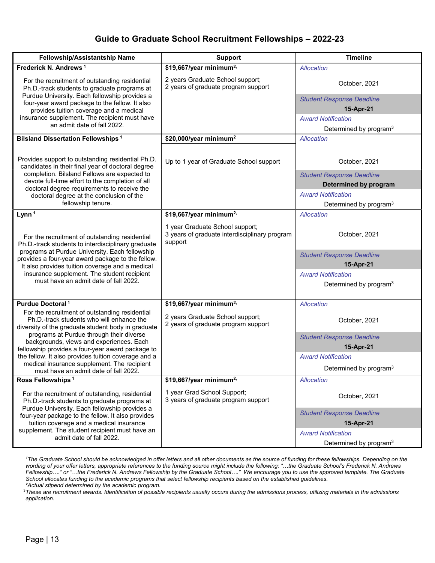# **Guide to Graduate School Recruitment Fellowships – 2022-23**

<span id="page-12-0"></span>

| Fellowship/Assistantship Name                                                                                                                                                                                                                                                                                                                          | <b>Support</b>                                                                              | <b>Timeline</b>                                                 |
|--------------------------------------------------------------------------------------------------------------------------------------------------------------------------------------------------------------------------------------------------------------------------------------------------------------------------------------------------------|---------------------------------------------------------------------------------------------|-----------------------------------------------------------------|
| Frederick N. Andrews <sup>1</sup>                                                                                                                                                                                                                                                                                                                      | \$19,667/year minimum <sup>2,</sup>                                                         | Allocation                                                      |
| For the recruitment of outstanding residential<br>Ph.D.-track students to graduate programs at                                                                                                                                                                                                                                                         | 2 years Graduate School support;<br>2 years of graduate program support                     | October, 2021                                                   |
| Purdue University. Each fellowship provides a<br>four-year award package to the fellow. It also                                                                                                                                                                                                                                                        |                                                                                             | <b>Student Response Deadline</b>                                |
| provides tuition coverage and a medical<br>insurance supplement. The recipient must have<br>an admit date of fall 2022.                                                                                                                                                                                                                                |                                                                                             | 15-Apr-21                                                       |
|                                                                                                                                                                                                                                                                                                                                                        |                                                                                             | <b>Award Notification</b>                                       |
|                                                                                                                                                                                                                                                                                                                                                        |                                                                                             | Determined by program <sup>3</sup>                              |
| <b>Bilsland Dissertation Fellowships<sup>1</sup></b>                                                                                                                                                                                                                                                                                                   | \$20,000/year minimum <sup>2</sup>                                                          | Allocation                                                      |
| Provides support to outstanding residential Ph.D.<br>candidates in their final year of doctoral degree                                                                                                                                                                                                                                                 | Up to 1 year of Graduate School support                                                     | October, 2021                                                   |
| completion. Bilsland Fellows are expected to<br>devote full-time effort to the completion of all                                                                                                                                                                                                                                                       |                                                                                             | <b>Student Response Deadline</b>                                |
| doctoral degree requirements to receive the                                                                                                                                                                                                                                                                                                            |                                                                                             | Determined by program<br><b>Award Notification</b>              |
| doctoral degree at the conclusion of the<br>fellowship tenure.                                                                                                                                                                                                                                                                                         |                                                                                             | Determined by program <sup>3</sup>                              |
| Lynn <sup>1</sup>                                                                                                                                                                                                                                                                                                                                      | \$19,667/year minimum <sup>2,</sup>                                                         | Allocation                                                      |
| For the recruitment of outstanding residential<br>Ph.D.-track students to interdisciplinary graduate<br>programs at Purdue University. Each fellowship<br>provides a four-year award package to the fellow.<br>It also provides tuition coverage and a medical<br>insurance supplement. The student recipient<br>must have an admit date of fall 2022. | 1 year Graduate School support;<br>3 years of graduate interdisciplinary program<br>support | October, 2021                                                   |
|                                                                                                                                                                                                                                                                                                                                                        |                                                                                             | <b>Student Response Deadline</b><br>15-Apr-21                   |
|                                                                                                                                                                                                                                                                                                                                                        |                                                                                             | <b>Award Notification</b><br>Determined by program <sup>3</sup> |
| Purdue Doctoral <sup>1</sup>                                                                                                                                                                                                                                                                                                                           | \$19,667/year minimum <sup>2,</sup>                                                         | Allocation                                                      |
| For the recruitment of outstanding residential<br>Ph.D.-track students who will enhance the<br>diversity of the graduate student body in graduate                                                                                                                                                                                                      | 2 years Graduate School support;<br>2 years of graduate program support                     | October, 2021                                                   |
| programs at Purdue through their diverse<br>backgrounds, views and experiences. Each<br>fellowship provides a four-year award package to                                                                                                                                                                                                               |                                                                                             | <b>Student Response Deadline</b><br>15-Apr-21                   |
| the fellow. It also provides tuition coverage and a                                                                                                                                                                                                                                                                                                    |                                                                                             | <b>Award Notification</b>                                       |
| medical insurance supplement. The recipient<br>must have an admit date of fall 2022.                                                                                                                                                                                                                                                                   |                                                                                             | Determined by program <sup>3</sup>                              |
| Ross Fellowships <sup>1</sup>                                                                                                                                                                                                                                                                                                                          | \$19,667/year minimum <sup>2,</sup>                                                         | Allocation                                                      |
| For the recruitment of outstanding, residential<br>Ph.D.-track students to graduate programs at<br>Purdue University. Each fellowship provides a<br>four-year package to the fellow. It also provides<br>tuition coverage and a medical insurance<br>supplement. The student recipient must have an<br>admit date of fall 2022.                        | 1 year Grad School Support;<br>3 years of graduate program support                          | October, 2021                                                   |
|                                                                                                                                                                                                                                                                                                                                                        |                                                                                             | <b>Student Response Deadline</b><br>15-Apr-21                   |
|                                                                                                                                                                                                                                                                                                                                                        |                                                                                             | <b>Award Notification</b><br>Determined by program <sup>3</sup> |

<sup>1</sup>The Graduate School should be acknowledged in offer letters and all other documents as the source of funding for these fellowships. Depending on the *wording of your offer letters, appropriate references to the funding source might include the following: "…the Graduate School's Frederick N. Andrews Fellowship…." or "…the Frederick N. Andrews Fellowship by the Graduate School…." We encourage you to use the approved template. The Graduate School allocates funding to the academic programs that select fellowship recipients based on the established guidelines. 2 Actual stipend determined by the academic program.*

3 *These are recruitment awards. Identification of possible recipients usually occurs during the admissions process, utilizing materials in the admissions application.*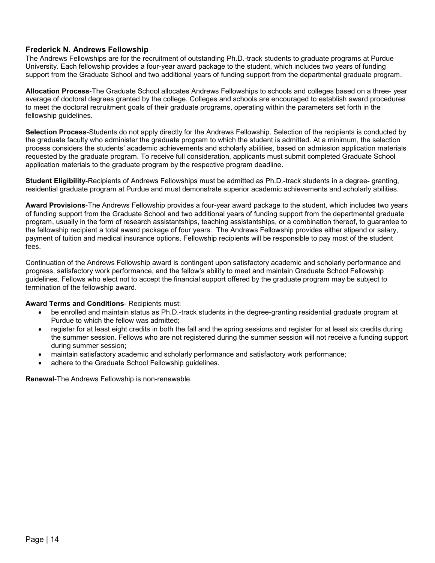#### <span id="page-13-0"></span>**Frederick N. Andrews Fellowship**

The Andrews Fellowships are for the recruitment of outstanding Ph.D.-track students to graduate programs at Purdue University. Each fellowship provides a four-year award package to the student, which includes two years of funding support from the Graduate School and two additional years of funding support from the departmental graduate program.

**Allocation Process**-The Graduate School allocates Andrews Fellowships to schools and colleges based on a three- year average of doctoral degrees granted by the college. Colleges and schools are encouraged to establish award procedures to meet the doctoral recruitment goals of their graduate programs, operating within the parameters set forth in the fellowship guidelines.

**Selection Process**-Students do not apply directly for the Andrews Fellowship. Selection of the recipients is conducted by the graduate faculty who administer the graduate program to which the student is admitted. At a minimum, the selection process considers the students' academic achievements and scholarly abilities, based on admission application materials requested by the graduate program. To receive full consideration, applicants must submit completed Graduate School application materials to the graduate program by the respective program deadline.

**Student Eligibility**-Recipients of Andrews Fellowships must be admitted as Ph.D.-track students in a degree- granting, residential graduate program at Purdue and must demonstrate superior academic achievements and scholarly abilities.

**Award Provisions**-The Andrews Fellowship provides a four-year award package to the student, which includes two years of funding support from the Graduate School and two additional years of funding support from the departmental graduate program, usually in the form of research assistantships, teaching assistantships, or a combination thereof, to guarantee to the fellowship recipient a total award package of four years. The Andrews Fellowship provides either stipend or salary, payment of tuition and medical insurance options. Fellowship recipients will be responsible to pay most of the student fees.

Continuation of the Andrews Fellowship award is contingent upon satisfactory academic and scholarly performance and progress, satisfactory work performance, and the fellow's ability to meet and maintain Graduate School Fellowship guidelines. Fellows who elect not to accept the financial support offered by the graduate program may be subject to termination of the fellowship award.

#### **Award Terms and Conditions**- Recipients must:

- be enrolled and maintain status as Ph.D.-track students in the degree-granting residential graduate program at Purdue to which the fellow was admitted;
- register for at least eight credits in both the fall and the spring sessions and register for at least six credits during the summer session. Fellows who are not registered during the summer session will not receive a funding support during summer session;
- maintain satisfactory academic and scholarly performance and satisfactory work performance;
- adhere to the Graduate School Fellowship guidelines.

**Renewal**-The Andrews Fellowship is non-renewable.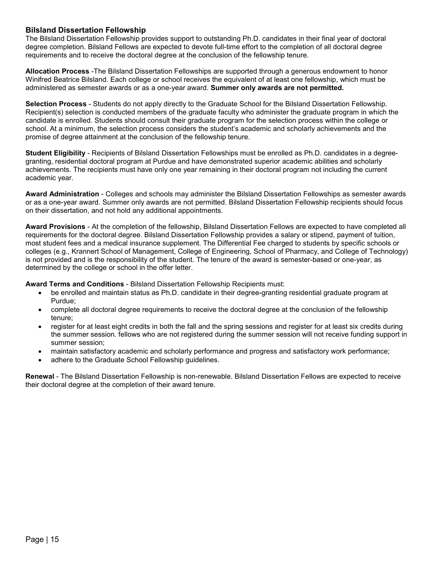## <span id="page-14-0"></span>**Bilsland Dissertation Fellowship**

The Bilsland Dissertation Fellowship provides support to outstanding Ph.D. candidates in their final year of doctoral degree completion. Bilsland Fellows are expected to devote full-time effort to the completion of all doctoral degree requirements and to receive the doctoral degree at the conclusion of the fellowship tenure.

**Allocation Process** -The Bilsland Dissertation Fellowships are supported through a generous endowment to honor Winifred Beatrice Bilsland. Each college or school receives the equivalent of at least one fellowship, which must be administered as semester awards or as a one-year award. **Summer only awards are not permitted.**

**Selection Process** - Students do not apply directly to the Graduate School for the Bilsland Dissertation Fellowship. Recipient(s) selection is conducted members of the graduate faculty who administer the graduate program in which the candidate is enrolled. Students should consult their graduate program for the selection process within the college or school. At a minimum, the selection process considers the student's academic and scholarly achievements and the promise of degree attainment at the conclusion of the fellowship tenure.

**Student Eligibility** - Recipients of Bilsland Dissertation Fellowships must be enrolled as Ph.D. candidates in a degreegranting, residential doctoral program at Purdue and have demonstrated superior academic abilities and scholarly achievements. The recipients must have only one year remaining in their doctoral program not including the current academic year.

**Award Administration** - Colleges and schools may administer the Bilsland Dissertation Fellowships as semester awards or as a one-year award. Summer only awards are not permitted. Bilsland Dissertation Fellowship recipients should focus on their dissertation, and not hold any additional appointments.

**Award Provisions** - At the completion of the fellowship, Bilsland Dissertation Fellows are expected to have completed all requirements for the doctoral degree. Bilsland Dissertation Fellowship provides a salary or stipend, payment of tuition, most student fees and a medical insurance supplement. The Differential Fee charged to students by specific schools or colleges (e.g., Krannert School of Management, College of Engineering, School of Pharmacy, and College of Technology) is not provided and is the responsibility of the student. The tenure of the award is semester-based or one-year, as determined by the college or school in the offer letter.

**Award Terms and Conditions** - Bilsland Dissertation Fellowship Recipients must:

- be enrolled and maintain status as Ph.D. candidate in their degree-granting residential graduate program at Purdue;
- complete all doctoral degree requirements to receive the doctoral degree at the conclusion of the fellowship tenure;
- register for at least eight credits in both the fall and the spring sessions and register for at least six credits during the summer session. fellows who are not registered during the summer session will not receive funding support in summer session;
- maintain satisfactory academic and scholarly performance and progress and satisfactory work performance;
- adhere to the Graduate School Fellowship guidelines.

**Renewal** - The Bilsland Dissertation Fellowship is non-renewable. Bilsland Dissertation Fellows are expected to receive their doctoral degree at the completion of their award tenure.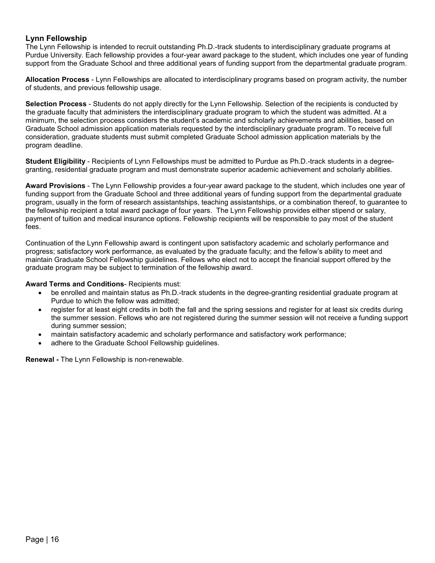#### <span id="page-15-0"></span>**Lynn Fellowship**

The Lynn Fellowship is intended to recruit outstanding Ph.D.-track students to interdisciplinary graduate programs at Purdue University. Each fellowship provides a four-year award package to the student, which includes one year of funding support from the Graduate School and three additional years of funding support from the departmental graduate program.

**Allocation Process** - Lynn Fellowships are allocated to interdisciplinary programs based on program activity, the number of students, and previous fellowship usage.

**Selection Process** - Students do not apply directly for the Lynn Fellowship. Selection of the recipients is conducted by the graduate faculty that administers the interdisciplinary graduate program to which the student was admitted. At a minimum, the selection process considers the student's academic and scholarly achievements and abilities, based on Graduate School admission application materials requested by the interdisciplinary graduate program. To receive full consideration, graduate students must submit completed Graduate School admission application materials by the program deadline.

**Student Eligibility** - Recipients of Lynn Fellowships must be admitted to Purdue as Ph.D.-track students in a degreegranting, residential graduate program and must demonstrate superior academic achievement and scholarly abilities.

**Award Provisions** - The Lynn Fellowship provides a four-year award package to the student, which includes one year of funding support from the Graduate School and three additional years of funding support from the departmental graduate program, usually in the form of research assistantships, teaching assistantships, or a combination thereof, to guarantee to the fellowship recipient a total award package of four years. The Lynn Fellowship provides either stipend or salary, payment of tuition and medical insurance options. Fellowship recipients will be responsible to pay most of the student fees.

Continuation of the Lynn Fellowship award is contingent upon satisfactory academic and scholarly performance and progress; satisfactory work performance, as evaluated by the graduate faculty; and the fellow's ability to meet and maintain Graduate School Fellowship guidelines. Fellows who elect not to accept the financial support offered by the graduate program may be subject to termination of the fellowship award.

#### **Award Terms and Conditions**- Recipients must:

- be enrolled and maintain status as Ph.D.-track students in the degree-granting residential graduate program at Purdue to which the fellow was admitted;
- register for at least eight credits in both the fall and the spring sessions and register for at least six credits during the summer session. Fellows who are not registered during the summer session will not receive a funding support during summer session;
- maintain satisfactory academic and scholarly performance and satisfactory work performance;
- adhere to the Graduate School Fellowship quidelines.

**Renewal -** The Lynn Fellowship is non-renewable.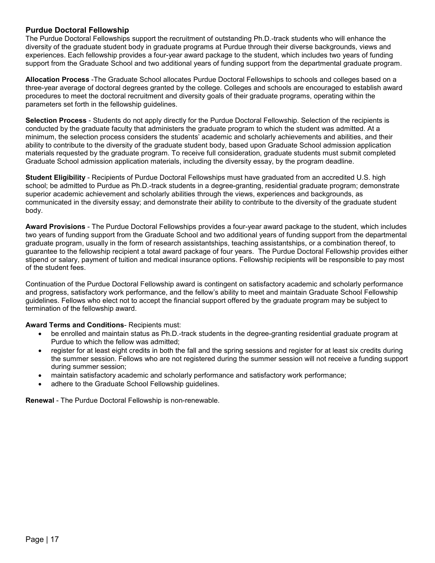#### <span id="page-16-0"></span>**Purdue Doctoral Fellowship**

The Purdue Doctoral Fellowships support the recruitment of outstanding Ph.D.-track students who will enhance the diversity of the graduate student body in graduate programs at Purdue through their diverse backgrounds, views and experiences. Each fellowship provides a four-year award package to the student, which includes two years of funding support from the Graduate School and two additional years of funding support from the departmental graduate program.

**Allocation Process** -The Graduate School allocates Purdue Doctoral Fellowships to schools and colleges based on a three-year average of doctoral degrees granted by the college. Colleges and schools are encouraged to establish award procedures to meet the doctoral recruitment and diversity goals of their graduate programs, operating within the parameters set forth in the fellowship guidelines.

**Selection Process** - Students do not apply directly for the Purdue Doctoral Fellowship. Selection of the recipients is conducted by the graduate faculty that administers the graduate program to which the student was admitted. At a minimum, the selection process considers the students' academic and scholarly achievements and abilities, and their ability to contribute to the diversity of the graduate student body, based upon Graduate School admission application materials requested by the graduate program. To receive full consideration, graduate students must submit completed Graduate School admission application materials, including the diversity essay, by the program deadline.

**Student Eligibility** - Recipients of Purdue Doctoral Fellowships must have graduated from an accredited U.S. high school; be admitted to Purdue as Ph.D.-track students in a degree-granting, residential graduate program; demonstrate superior academic achievement and scholarly abilities through the views, experiences and backgrounds, as communicated in the diversity essay; and demonstrate their ability to contribute to the diversity of the graduate student body.

**Award Provisions** - The Purdue Doctoral Fellowships provides a four-year award package to the student, which includes two years of funding support from the Graduate School and two additional years of funding support from the departmental graduate program, usually in the form of research assistantships, teaching assistantships, or a combination thereof, to guarantee to the fellowship recipient a total award package of four years. The Purdue Doctoral Fellowship provides either stipend or salary, payment of tuition and medical insurance options. Fellowship recipients will be responsible to pay most of the student fees.

Continuation of the Purdue Doctoral Fellowship award is contingent on satisfactory academic and scholarly performance and progress, satisfactory work performance, and the fellow's ability to meet and maintain Graduate School Fellowship guidelines. Fellows who elect not to accept the financial support offered by the graduate program may be subject to termination of the fellowship award.

#### **Award Terms and Conditions**- Recipients must:

- be enrolled and maintain status as Ph.D.-track students in the degree-granting residential graduate program at Purdue to which the fellow was admitted;
- register for at least eight credits in both the fall and the spring sessions and register for at least six credits during the summer session. Fellows who are not registered during the summer session will not receive a funding support during summer session;
- maintain satisfactory academic and scholarly performance and satisfactory work performance;
- adhere to the Graduate School Fellowship guidelines.

**Renewal** - The Purdue Doctoral Fellowship is non-renewable.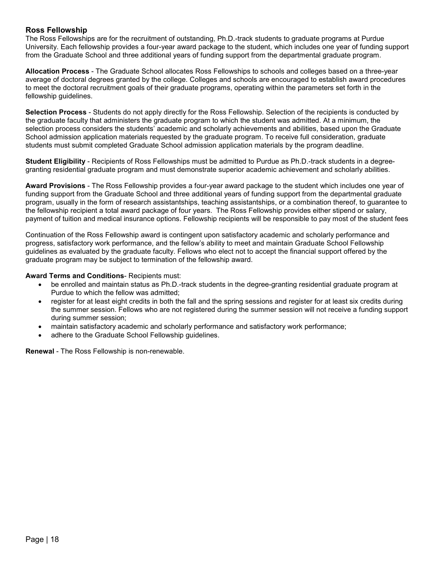# <span id="page-17-0"></span>**Ross Fellowship**

The Ross Fellowships are for the recruitment of outstanding, Ph.D.-track students to graduate programs at Purdue University. Each fellowship provides a four-year award package to the student, which includes one year of funding support from the Graduate School and three additional years of funding support from the departmental graduate program.

**Allocation Process** - The Graduate School allocates Ross Fellowships to schools and colleges based on a three-year average of doctoral degrees granted by the college. Colleges and schools are encouraged to establish award procedures to meet the doctoral recruitment goals of their graduate programs, operating within the parameters set forth in the fellowship guidelines.

**Selection Process** - Students do not apply directly for the Ross Fellowship. Selection of the recipients is conducted by the graduate faculty that administers the graduate program to which the student was admitted. At a minimum, the selection process considers the students' academic and scholarly achievements and abilities, based upon the Graduate School admission application materials requested by the graduate program. To receive full consideration, graduate students must submit completed Graduate School admission application materials by the program deadline.

**Student Eligibility** - Recipients of Ross Fellowships must be admitted to Purdue as Ph.D.-track students in a degreegranting residential graduate program and must demonstrate superior academic achievement and scholarly abilities.

**Award Provisions** - The Ross Fellowship provides a four-year award package to the student which includes one year of funding support from the Graduate School and three additional years of funding support from the departmental graduate program, usually in the form of research assistantships, teaching assistantships, or a combination thereof, to guarantee to the fellowship recipient a total award package of four years. The Ross Fellowship provides either stipend or salary, payment of tuition and medical insurance options. Fellowship recipients will be responsible to pay most of the student fees

Continuation of the Ross Fellowship award is contingent upon satisfactory academic and scholarly performance and progress, satisfactory work performance, and the fellow's ability to meet and maintain Graduate School Fellowship guidelines as evaluated by the graduate faculty. Fellows who elect not to accept the financial support offered by the graduate program may be subject to termination of the fellowship award.

#### **Award Terms and Conditions**- Recipients must:

- be enrolled and maintain status as Ph.D.-track students in the degree-granting residential graduate program at Purdue to which the fellow was admitted;
- register for at least eight credits in both the fall and the spring sessions and register for at least six credits during the summer session. Fellows who are not registered during the summer session will not receive a funding support during summer session;
- maintain satisfactory academic and scholarly performance and satisfactory work performance;
- adhere to the Graduate School Fellowship guidelines.

**Renewal** - The Ross Fellowship is non-renewable.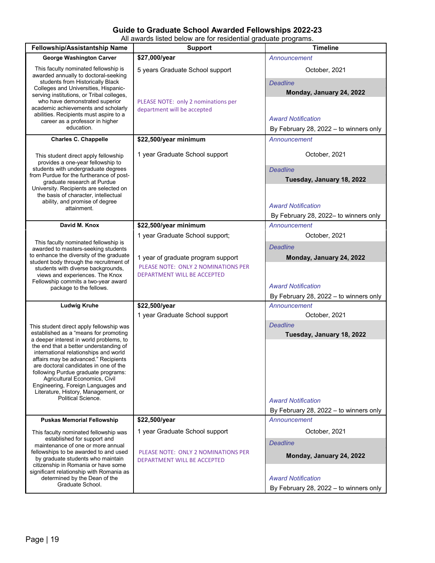# **Guide to Graduate School Awarded Fellowships 2022-23**

All awards listed below are for residential graduate programs.

<span id="page-18-1"></span><span id="page-18-0"></span>

| \$27,000/year<br><b>George Washington Carver</b><br>Announcement<br>This faculty nominated fellowship is<br>5 years Graduate School support<br>October, 2021<br>awarded annually to doctoral-seeking<br>students from Historically Black<br><b>Deadline</b><br>Colleges and Universities, Hispanic-<br>Monday, January 24, 2022<br>serving institutions, or Tribal colleges,<br>who have demonstrated superior<br>PLEASE NOTE: only 2 nominations per<br>academic achievements and scholarly<br>department will be accepted<br>abilities. Recipients must aspire to a<br><b>Award Notification</b><br>career as a professor in higher<br>education.<br>By February 28, 2022 - to winners only<br>\$22,500/year minimum<br><b>Charles C. Chappelle</b><br>Announcement<br>1 year Graduate School support<br>October, 2021<br>This student direct apply fellowship<br>provides a one-year fellowship to<br>students with undergraduate degrees<br><b>Deadline</b><br>from Purdue for the furtherance of post-<br>Tuesday, January 18, 2022<br>graduate research at Purdue<br>University. Recipients are selected on<br>the basis of character, intellectual<br>ability, and promise of degree<br><b>Award Notification</b><br>attainment.<br>By February 28, 2022- to winners only<br>David M. Knox<br>\$22,500/year minimum<br>Announcement<br>1 year Graduate School support;<br>October, 2021<br>This faculty nominated fellowship is<br><b>Deadline</b><br>awarded to masters-seeking students<br>to enhance the diversity of the graduate<br>Monday, January 24, 2022<br>1 year of graduate program support<br>student body through the recruitment of<br>PLEASE NOTE: ONLY 2 NOMINATIONS PER<br>students with diverse backgrounds,<br>views and experiences. The Knox<br>DEPARTMENT WILL BE ACCEPTED<br>Fellowship commits a two-year award<br><b>Award Notification</b><br>package to the fellows.<br>By February 28, 2022 - to winners only<br>\$22,500/year<br><b>Ludwig Kruhe</b><br>Announcement<br>1 year Graduate School support<br>October, 2021<br><b>Deadline</b><br>This student direct apply fellowship was<br>established as a "means for promoting<br>Tuesday, January 18, 2022<br>a deeper interest in world problems, to<br>the end that a better understanding of<br>international relationships and world<br>affairs may be advanced." Recipients<br>are doctoral candidates in one of the<br>following Purdue graduate programs:<br>Agricultural Economics, Civil<br>Engineering, Foreign Languages and<br>Literature, History, Management, or<br>Political Science.<br><b>Award Notification</b><br>By February 28, 2022 - to winners only<br>\$22,500/year<br><b>Puskas Memorial Fellowship</b><br>Announcement<br>1 year Graduate School support<br>October, 2021<br>This faculty nominated fellowship was<br>established for support and<br><b>Deadline</b><br>maintenance of one or more annual<br>fellowships to be awarded to and used<br>PLEASE NOTE: ONLY 2 NOMINATIONS PER<br>Monday, January 24, 2022<br>by graduate students who maintain<br>DEPARTMENT WILL BE ACCEPTED<br>citizenship in Romania or have some<br>significant relationship with Romania as<br>determined by the Dean of the<br><b>Award Notification</b> | <b>Fellowship/Assistantship Name</b> | <b>Support</b> | <b>Timeline</b>                        |
|--------------------------------------------------------------------------------------------------------------------------------------------------------------------------------------------------------------------------------------------------------------------------------------------------------------------------------------------------------------------------------------------------------------------------------------------------------------------------------------------------------------------------------------------------------------------------------------------------------------------------------------------------------------------------------------------------------------------------------------------------------------------------------------------------------------------------------------------------------------------------------------------------------------------------------------------------------------------------------------------------------------------------------------------------------------------------------------------------------------------------------------------------------------------------------------------------------------------------------------------------------------------------------------------------------------------------------------------------------------------------------------------------------------------------------------------------------------------------------------------------------------------------------------------------------------------------------------------------------------------------------------------------------------------------------------------------------------------------------------------------------------------------------------------------------------------------------------------------------------------------------------------------------------------------------------------------------------------------------------------------------------------------------------------------------------------------------------------------------------------------------------------------------------------------------------------------------------------------------------------------------------------------------------------------------------------------------------------------------------------------------------------------------------------------------------------------------------------------------------------------------------------------------------------------------------------------------------------------------------------------------------------------------------------------------------------------------------------------------------------------------------------------------------------------------------------------------------------------------------------------------------------------------------------------------------------------------------------------------------------------------------------------------------------------------------------------------------------------------------------------------------------------------------------------------------------------------------------------------------------------------------|--------------------------------------|----------------|----------------------------------------|
|                                                                                                                                                                                                                                                                                                                                                                                                                                                                                                                                                                                                                                                                                                                                                                                                                                                                                                                                                                                                                                                                                                                                                                                                                                                                                                                                                                                                                                                                                                                                                                                                                                                                                                                                                                                                                                                                                                                                                                                                                                                                                                                                                                                                                                                                                                                                                                                                                                                                                                                                                                                                                                                                                                                                                                                                                                                                                                                                                                                                                                                                                                                                                                                                                                                              |                                      |                |                                        |
|                                                                                                                                                                                                                                                                                                                                                                                                                                                                                                                                                                                                                                                                                                                                                                                                                                                                                                                                                                                                                                                                                                                                                                                                                                                                                                                                                                                                                                                                                                                                                                                                                                                                                                                                                                                                                                                                                                                                                                                                                                                                                                                                                                                                                                                                                                                                                                                                                                                                                                                                                                                                                                                                                                                                                                                                                                                                                                                                                                                                                                                                                                                                                                                                                                                              |                                      |                |                                        |
|                                                                                                                                                                                                                                                                                                                                                                                                                                                                                                                                                                                                                                                                                                                                                                                                                                                                                                                                                                                                                                                                                                                                                                                                                                                                                                                                                                                                                                                                                                                                                                                                                                                                                                                                                                                                                                                                                                                                                                                                                                                                                                                                                                                                                                                                                                                                                                                                                                                                                                                                                                                                                                                                                                                                                                                                                                                                                                                                                                                                                                                                                                                                                                                                                                                              |                                      |                |                                        |
|                                                                                                                                                                                                                                                                                                                                                                                                                                                                                                                                                                                                                                                                                                                                                                                                                                                                                                                                                                                                                                                                                                                                                                                                                                                                                                                                                                                                                                                                                                                                                                                                                                                                                                                                                                                                                                                                                                                                                                                                                                                                                                                                                                                                                                                                                                                                                                                                                                                                                                                                                                                                                                                                                                                                                                                                                                                                                                                                                                                                                                                                                                                                                                                                                                                              |                                      |                |                                        |
|                                                                                                                                                                                                                                                                                                                                                                                                                                                                                                                                                                                                                                                                                                                                                                                                                                                                                                                                                                                                                                                                                                                                                                                                                                                                                                                                                                                                                                                                                                                                                                                                                                                                                                                                                                                                                                                                                                                                                                                                                                                                                                                                                                                                                                                                                                                                                                                                                                                                                                                                                                                                                                                                                                                                                                                                                                                                                                                                                                                                                                                                                                                                                                                                                                                              |                                      |                |                                        |
|                                                                                                                                                                                                                                                                                                                                                                                                                                                                                                                                                                                                                                                                                                                                                                                                                                                                                                                                                                                                                                                                                                                                                                                                                                                                                                                                                                                                                                                                                                                                                                                                                                                                                                                                                                                                                                                                                                                                                                                                                                                                                                                                                                                                                                                                                                                                                                                                                                                                                                                                                                                                                                                                                                                                                                                                                                                                                                                                                                                                                                                                                                                                                                                                                                                              |                                      |                |                                        |
|                                                                                                                                                                                                                                                                                                                                                                                                                                                                                                                                                                                                                                                                                                                                                                                                                                                                                                                                                                                                                                                                                                                                                                                                                                                                                                                                                                                                                                                                                                                                                                                                                                                                                                                                                                                                                                                                                                                                                                                                                                                                                                                                                                                                                                                                                                                                                                                                                                                                                                                                                                                                                                                                                                                                                                                                                                                                                                                                                                                                                                                                                                                                                                                                                                                              |                                      |                |                                        |
|                                                                                                                                                                                                                                                                                                                                                                                                                                                                                                                                                                                                                                                                                                                                                                                                                                                                                                                                                                                                                                                                                                                                                                                                                                                                                                                                                                                                                                                                                                                                                                                                                                                                                                                                                                                                                                                                                                                                                                                                                                                                                                                                                                                                                                                                                                                                                                                                                                                                                                                                                                                                                                                                                                                                                                                                                                                                                                                                                                                                                                                                                                                                                                                                                                                              |                                      |                |                                        |
|                                                                                                                                                                                                                                                                                                                                                                                                                                                                                                                                                                                                                                                                                                                                                                                                                                                                                                                                                                                                                                                                                                                                                                                                                                                                                                                                                                                                                                                                                                                                                                                                                                                                                                                                                                                                                                                                                                                                                                                                                                                                                                                                                                                                                                                                                                                                                                                                                                                                                                                                                                                                                                                                                                                                                                                                                                                                                                                                                                                                                                                                                                                                                                                                                                                              |                                      |                |                                        |
|                                                                                                                                                                                                                                                                                                                                                                                                                                                                                                                                                                                                                                                                                                                                                                                                                                                                                                                                                                                                                                                                                                                                                                                                                                                                                                                                                                                                                                                                                                                                                                                                                                                                                                                                                                                                                                                                                                                                                                                                                                                                                                                                                                                                                                                                                                                                                                                                                                                                                                                                                                                                                                                                                                                                                                                                                                                                                                                                                                                                                                                                                                                                                                                                                                                              |                                      |                |                                        |
|                                                                                                                                                                                                                                                                                                                                                                                                                                                                                                                                                                                                                                                                                                                                                                                                                                                                                                                                                                                                                                                                                                                                                                                                                                                                                                                                                                                                                                                                                                                                                                                                                                                                                                                                                                                                                                                                                                                                                                                                                                                                                                                                                                                                                                                                                                                                                                                                                                                                                                                                                                                                                                                                                                                                                                                                                                                                                                                                                                                                                                                                                                                                                                                                                                                              |                                      |                |                                        |
|                                                                                                                                                                                                                                                                                                                                                                                                                                                                                                                                                                                                                                                                                                                                                                                                                                                                                                                                                                                                                                                                                                                                                                                                                                                                                                                                                                                                                                                                                                                                                                                                                                                                                                                                                                                                                                                                                                                                                                                                                                                                                                                                                                                                                                                                                                                                                                                                                                                                                                                                                                                                                                                                                                                                                                                                                                                                                                                                                                                                                                                                                                                                                                                                                                                              |                                      |                |                                        |
|                                                                                                                                                                                                                                                                                                                                                                                                                                                                                                                                                                                                                                                                                                                                                                                                                                                                                                                                                                                                                                                                                                                                                                                                                                                                                                                                                                                                                                                                                                                                                                                                                                                                                                                                                                                                                                                                                                                                                                                                                                                                                                                                                                                                                                                                                                                                                                                                                                                                                                                                                                                                                                                                                                                                                                                                                                                                                                                                                                                                                                                                                                                                                                                                                                                              |                                      |                |                                        |
|                                                                                                                                                                                                                                                                                                                                                                                                                                                                                                                                                                                                                                                                                                                                                                                                                                                                                                                                                                                                                                                                                                                                                                                                                                                                                                                                                                                                                                                                                                                                                                                                                                                                                                                                                                                                                                                                                                                                                                                                                                                                                                                                                                                                                                                                                                                                                                                                                                                                                                                                                                                                                                                                                                                                                                                                                                                                                                                                                                                                                                                                                                                                                                                                                                                              |                                      |                |                                        |
|                                                                                                                                                                                                                                                                                                                                                                                                                                                                                                                                                                                                                                                                                                                                                                                                                                                                                                                                                                                                                                                                                                                                                                                                                                                                                                                                                                                                                                                                                                                                                                                                                                                                                                                                                                                                                                                                                                                                                                                                                                                                                                                                                                                                                                                                                                                                                                                                                                                                                                                                                                                                                                                                                                                                                                                                                                                                                                                                                                                                                                                                                                                                                                                                                                                              |                                      |                |                                        |
|                                                                                                                                                                                                                                                                                                                                                                                                                                                                                                                                                                                                                                                                                                                                                                                                                                                                                                                                                                                                                                                                                                                                                                                                                                                                                                                                                                                                                                                                                                                                                                                                                                                                                                                                                                                                                                                                                                                                                                                                                                                                                                                                                                                                                                                                                                                                                                                                                                                                                                                                                                                                                                                                                                                                                                                                                                                                                                                                                                                                                                                                                                                                                                                                                                                              |                                      |                |                                        |
|                                                                                                                                                                                                                                                                                                                                                                                                                                                                                                                                                                                                                                                                                                                                                                                                                                                                                                                                                                                                                                                                                                                                                                                                                                                                                                                                                                                                                                                                                                                                                                                                                                                                                                                                                                                                                                                                                                                                                                                                                                                                                                                                                                                                                                                                                                                                                                                                                                                                                                                                                                                                                                                                                                                                                                                                                                                                                                                                                                                                                                                                                                                                                                                                                                                              |                                      |                |                                        |
|                                                                                                                                                                                                                                                                                                                                                                                                                                                                                                                                                                                                                                                                                                                                                                                                                                                                                                                                                                                                                                                                                                                                                                                                                                                                                                                                                                                                                                                                                                                                                                                                                                                                                                                                                                                                                                                                                                                                                                                                                                                                                                                                                                                                                                                                                                                                                                                                                                                                                                                                                                                                                                                                                                                                                                                                                                                                                                                                                                                                                                                                                                                                                                                                                                                              |                                      |                |                                        |
|                                                                                                                                                                                                                                                                                                                                                                                                                                                                                                                                                                                                                                                                                                                                                                                                                                                                                                                                                                                                                                                                                                                                                                                                                                                                                                                                                                                                                                                                                                                                                                                                                                                                                                                                                                                                                                                                                                                                                                                                                                                                                                                                                                                                                                                                                                                                                                                                                                                                                                                                                                                                                                                                                                                                                                                                                                                                                                                                                                                                                                                                                                                                                                                                                                                              |                                      |                |                                        |
|                                                                                                                                                                                                                                                                                                                                                                                                                                                                                                                                                                                                                                                                                                                                                                                                                                                                                                                                                                                                                                                                                                                                                                                                                                                                                                                                                                                                                                                                                                                                                                                                                                                                                                                                                                                                                                                                                                                                                                                                                                                                                                                                                                                                                                                                                                                                                                                                                                                                                                                                                                                                                                                                                                                                                                                                                                                                                                                                                                                                                                                                                                                                                                                                                                                              |                                      |                |                                        |
|                                                                                                                                                                                                                                                                                                                                                                                                                                                                                                                                                                                                                                                                                                                                                                                                                                                                                                                                                                                                                                                                                                                                                                                                                                                                                                                                                                                                                                                                                                                                                                                                                                                                                                                                                                                                                                                                                                                                                                                                                                                                                                                                                                                                                                                                                                                                                                                                                                                                                                                                                                                                                                                                                                                                                                                                                                                                                                                                                                                                                                                                                                                                                                                                                                                              |                                      |                |                                        |
|                                                                                                                                                                                                                                                                                                                                                                                                                                                                                                                                                                                                                                                                                                                                                                                                                                                                                                                                                                                                                                                                                                                                                                                                                                                                                                                                                                                                                                                                                                                                                                                                                                                                                                                                                                                                                                                                                                                                                                                                                                                                                                                                                                                                                                                                                                                                                                                                                                                                                                                                                                                                                                                                                                                                                                                                                                                                                                                                                                                                                                                                                                                                                                                                                                                              |                                      |                |                                        |
|                                                                                                                                                                                                                                                                                                                                                                                                                                                                                                                                                                                                                                                                                                                                                                                                                                                                                                                                                                                                                                                                                                                                                                                                                                                                                                                                                                                                                                                                                                                                                                                                                                                                                                                                                                                                                                                                                                                                                                                                                                                                                                                                                                                                                                                                                                                                                                                                                                                                                                                                                                                                                                                                                                                                                                                                                                                                                                                                                                                                                                                                                                                                                                                                                                                              |                                      |                |                                        |
|                                                                                                                                                                                                                                                                                                                                                                                                                                                                                                                                                                                                                                                                                                                                                                                                                                                                                                                                                                                                                                                                                                                                                                                                                                                                                                                                                                                                                                                                                                                                                                                                                                                                                                                                                                                                                                                                                                                                                                                                                                                                                                                                                                                                                                                                                                                                                                                                                                                                                                                                                                                                                                                                                                                                                                                                                                                                                                                                                                                                                                                                                                                                                                                                                                                              |                                      |                |                                        |
|                                                                                                                                                                                                                                                                                                                                                                                                                                                                                                                                                                                                                                                                                                                                                                                                                                                                                                                                                                                                                                                                                                                                                                                                                                                                                                                                                                                                                                                                                                                                                                                                                                                                                                                                                                                                                                                                                                                                                                                                                                                                                                                                                                                                                                                                                                                                                                                                                                                                                                                                                                                                                                                                                                                                                                                                                                                                                                                                                                                                                                                                                                                                                                                                                                                              |                                      |                |                                        |
|                                                                                                                                                                                                                                                                                                                                                                                                                                                                                                                                                                                                                                                                                                                                                                                                                                                                                                                                                                                                                                                                                                                                                                                                                                                                                                                                                                                                                                                                                                                                                                                                                                                                                                                                                                                                                                                                                                                                                                                                                                                                                                                                                                                                                                                                                                                                                                                                                                                                                                                                                                                                                                                                                                                                                                                                                                                                                                                                                                                                                                                                                                                                                                                                                                                              |                                      |                |                                        |
|                                                                                                                                                                                                                                                                                                                                                                                                                                                                                                                                                                                                                                                                                                                                                                                                                                                                                                                                                                                                                                                                                                                                                                                                                                                                                                                                                                                                                                                                                                                                                                                                                                                                                                                                                                                                                                                                                                                                                                                                                                                                                                                                                                                                                                                                                                                                                                                                                                                                                                                                                                                                                                                                                                                                                                                                                                                                                                                                                                                                                                                                                                                                                                                                                                                              |                                      |                |                                        |
|                                                                                                                                                                                                                                                                                                                                                                                                                                                                                                                                                                                                                                                                                                                                                                                                                                                                                                                                                                                                                                                                                                                                                                                                                                                                                                                                                                                                                                                                                                                                                                                                                                                                                                                                                                                                                                                                                                                                                                                                                                                                                                                                                                                                                                                                                                                                                                                                                                                                                                                                                                                                                                                                                                                                                                                                                                                                                                                                                                                                                                                                                                                                                                                                                                                              |                                      |                |                                        |
|                                                                                                                                                                                                                                                                                                                                                                                                                                                                                                                                                                                                                                                                                                                                                                                                                                                                                                                                                                                                                                                                                                                                                                                                                                                                                                                                                                                                                                                                                                                                                                                                                                                                                                                                                                                                                                                                                                                                                                                                                                                                                                                                                                                                                                                                                                                                                                                                                                                                                                                                                                                                                                                                                                                                                                                                                                                                                                                                                                                                                                                                                                                                                                                                                                                              |                                      |                |                                        |
|                                                                                                                                                                                                                                                                                                                                                                                                                                                                                                                                                                                                                                                                                                                                                                                                                                                                                                                                                                                                                                                                                                                                                                                                                                                                                                                                                                                                                                                                                                                                                                                                                                                                                                                                                                                                                                                                                                                                                                                                                                                                                                                                                                                                                                                                                                                                                                                                                                                                                                                                                                                                                                                                                                                                                                                                                                                                                                                                                                                                                                                                                                                                                                                                                                                              |                                      |                |                                        |
|                                                                                                                                                                                                                                                                                                                                                                                                                                                                                                                                                                                                                                                                                                                                                                                                                                                                                                                                                                                                                                                                                                                                                                                                                                                                                                                                                                                                                                                                                                                                                                                                                                                                                                                                                                                                                                                                                                                                                                                                                                                                                                                                                                                                                                                                                                                                                                                                                                                                                                                                                                                                                                                                                                                                                                                                                                                                                                                                                                                                                                                                                                                                                                                                                                                              |                                      |                |                                        |
|                                                                                                                                                                                                                                                                                                                                                                                                                                                                                                                                                                                                                                                                                                                                                                                                                                                                                                                                                                                                                                                                                                                                                                                                                                                                                                                                                                                                                                                                                                                                                                                                                                                                                                                                                                                                                                                                                                                                                                                                                                                                                                                                                                                                                                                                                                                                                                                                                                                                                                                                                                                                                                                                                                                                                                                                                                                                                                                                                                                                                                                                                                                                                                                                                                                              |                                      |                |                                        |
|                                                                                                                                                                                                                                                                                                                                                                                                                                                                                                                                                                                                                                                                                                                                                                                                                                                                                                                                                                                                                                                                                                                                                                                                                                                                                                                                                                                                                                                                                                                                                                                                                                                                                                                                                                                                                                                                                                                                                                                                                                                                                                                                                                                                                                                                                                                                                                                                                                                                                                                                                                                                                                                                                                                                                                                                                                                                                                                                                                                                                                                                                                                                                                                                                                                              |                                      |                |                                        |
|                                                                                                                                                                                                                                                                                                                                                                                                                                                                                                                                                                                                                                                                                                                                                                                                                                                                                                                                                                                                                                                                                                                                                                                                                                                                                                                                                                                                                                                                                                                                                                                                                                                                                                                                                                                                                                                                                                                                                                                                                                                                                                                                                                                                                                                                                                                                                                                                                                                                                                                                                                                                                                                                                                                                                                                                                                                                                                                                                                                                                                                                                                                                                                                                                                                              |                                      |                |                                        |
|                                                                                                                                                                                                                                                                                                                                                                                                                                                                                                                                                                                                                                                                                                                                                                                                                                                                                                                                                                                                                                                                                                                                                                                                                                                                                                                                                                                                                                                                                                                                                                                                                                                                                                                                                                                                                                                                                                                                                                                                                                                                                                                                                                                                                                                                                                                                                                                                                                                                                                                                                                                                                                                                                                                                                                                                                                                                                                                                                                                                                                                                                                                                                                                                                                                              |                                      |                |                                        |
|                                                                                                                                                                                                                                                                                                                                                                                                                                                                                                                                                                                                                                                                                                                                                                                                                                                                                                                                                                                                                                                                                                                                                                                                                                                                                                                                                                                                                                                                                                                                                                                                                                                                                                                                                                                                                                                                                                                                                                                                                                                                                                                                                                                                                                                                                                                                                                                                                                                                                                                                                                                                                                                                                                                                                                                                                                                                                                                                                                                                                                                                                                                                                                                                                                                              |                                      |                |                                        |
|                                                                                                                                                                                                                                                                                                                                                                                                                                                                                                                                                                                                                                                                                                                                                                                                                                                                                                                                                                                                                                                                                                                                                                                                                                                                                                                                                                                                                                                                                                                                                                                                                                                                                                                                                                                                                                                                                                                                                                                                                                                                                                                                                                                                                                                                                                                                                                                                                                                                                                                                                                                                                                                                                                                                                                                                                                                                                                                                                                                                                                                                                                                                                                                                                                                              |                                      |                |                                        |
|                                                                                                                                                                                                                                                                                                                                                                                                                                                                                                                                                                                                                                                                                                                                                                                                                                                                                                                                                                                                                                                                                                                                                                                                                                                                                                                                                                                                                                                                                                                                                                                                                                                                                                                                                                                                                                                                                                                                                                                                                                                                                                                                                                                                                                                                                                                                                                                                                                                                                                                                                                                                                                                                                                                                                                                                                                                                                                                                                                                                                                                                                                                                                                                                                                                              |                                      |                |                                        |
|                                                                                                                                                                                                                                                                                                                                                                                                                                                                                                                                                                                                                                                                                                                                                                                                                                                                                                                                                                                                                                                                                                                                                                                                                                                                                                                                                                                                                                                                                                                                                                                                                                                                                                                                                                                                                                                                                                                                                                                                                                                                                                                                                                                                                                                                                                                                                                                                                                                                                                                                                                                                                                                                                                                                                                                                                                                                                                                                                                                                                                                                                                                                                                                                                                                              | Graduate School.                     |                | By February 28, 2022 - to winners only |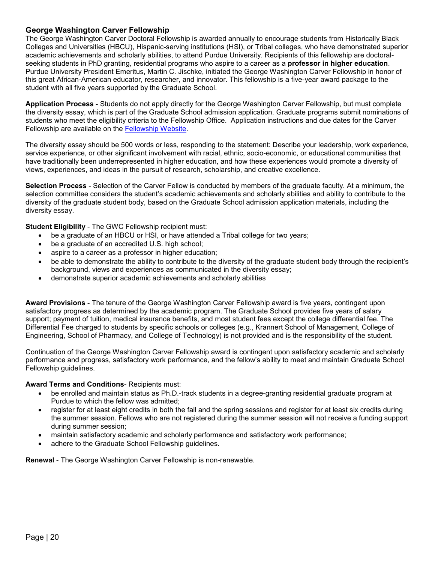# <span id="page-19-0"></span>**George Washington Carver Fellowship**

The George Washington Carver Doctoral Fellowship is awarded annually to encourage students from Historically Black Colleges and Universities (HBCU), Hispanic-serving institutions (HSI), or Tribal colleges, who have demonstrated superior academic achievements and scholarly abilities, to attend Purdue University. Recipients of this fellowship are doctoralseeking students in PhD granting, residential programs who aspire to a career as a **professor in higher education**. Purdue University President Emeritus, Martin C. Jischke, initiated the George Washington Carver Fellowship in honor of this great African-American educator, researcher, and innovator. This fellowship is a five-year award package to the student with all five years supported by the Graduate School.

**Application Process** - Students do not apply directly for the George Washington Carver Fellowship, but must complete the diversity essay, which is part of the Graduate School admission application. Graduate programs submit nominations of students who meet the eligibility criteria to the Fellowship Office. Application instructions and due dates for the Carver Fellowship are available on the [Fellowship Website.](https://www.purdue.edu/gradschool/fellowship/fellowship-resources-for-staff/managed-fellowships/gs-managed-faculty-nominated-fellowships.html)

The diversity essay should be 500 words or less, responding to the statement: Describe your leadership, work experience, service experience, or other significant involvement with racial, ethnic, socio-economic, or educational communities that have traditionally been underrepresented in higher education, and how these experiences would promote a diversity of views, experiences, and ideas in the pursuit of research, scholarship, and creative excellence.

**Selection Process** - Selection of the Carver Fellow is conducted by members of the graduate faculty. At a minimum, the selection committee considers the student's academic achievements and scholarly abilities and ability to contribute to the diversity of the graduate student body, based on the Graduate School admission application materials, including the diversity essay.

**Student Eligibility** - The GWC Fellowship recipient must:

- be a graduate of an HBCU or HSI, or have attended a Tribal college for two years;
- be a graduate of an accredited U.S. high school;
- aspire to a career as a professor in higher education;
- be able to demonstrate the ability to contribute to the diversity of the graduate student body through the recipient's background, views and experiences as communicated in the diversity essay;
- demonstrate superior academic achievements and scholarly abilities

**Award Provisions** - The tenure of the George Washington Carver Fellowship award is five years, contingent upon satisfactory progress as determined by the academic program. The Graduate School provides five years of salary support; payment of tuition, medical insurance benefits, and most student fees except the college differential fee. The Differential Fee charged to students by specific schools or colleges (e.g., Krannert School of Management, College of Engineering, School of Pharmacy, and College of Technology) is not provided and is the responsibility of the student.

Continuation of the George Washington Carver Fellowship award is contingent upon satisfactory academic and scholarly performance and progress, satisfactory work performance, and the fellow's ability to meet and maintain Graduate School Fellowship guidelines.

#### **Award Terms and Conditions**- Recipients must:

- be enrolled and maintain status as Ph.D.-track students in a degree-granting residential graduate program at Purdue to which the fellow was admitted;
- register for at least eight credits in both the fall and the spring sessions and register for at least six credits during the summer session. Fellows who are not registered during the summer session will not receive a funding support during summer session;
- maintain satisfactory academic and scholarly performance and satisfactory work performance;
- adhere to the Graduate School Fellowship guidelines.

**Renewal** - The George Washington Carver Fellowship is non-renewable.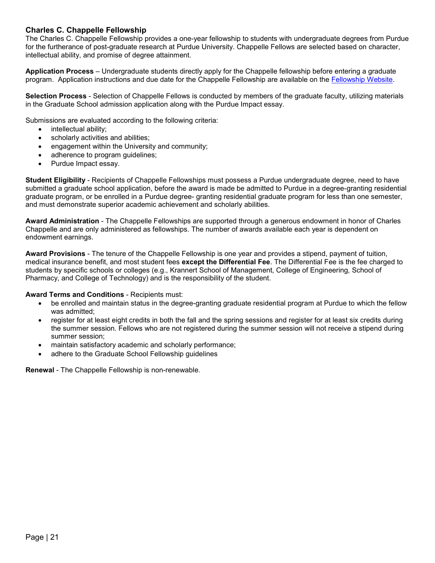## <span id="page-20-0"></span>**Charles C. Chappelle Fellowship**

The Charles C. Chappelle Fellowship provides a one-year fellowship to students with undergraduate degrees from Purdue for the furtherance of post-graduate research at Purdue University. Chappelle Fellows are selected based on character, intellectual ability, and promise of degree attainment.

**Application Process** – Undergraduate students directly apply for the Chappelle fellowship before entering a graduate program. Application instructions and due date for the Chappelle Fellowship are available on the [Fellowship Website.](https://www.purdue.edu/gradschool/fellowship/fellowship-resources-for-staff/managed-fellowships/gs-managed-student-direct-apply-fellowships.html)

**Selection Process** - Selection of Chappelle Fellows is conducted by members of the graduate faculty, utilizing materials in the Graduate School admission application along with the Purdue Impact essay.

Submissions are evaluated according to the following criteria:

- intellectual ability;
- scholarly activities and abilities;
- engagement within the University and community;
- adherence to program guidelines;
- Purdue Impact essay.

**Student Eligibility** - Recipients of Chappelle Fellowships must possess a Purdue undergraduate degree, need to have submitted a graduate school application, before the award is made be admitted to Purdue in a degree-granting residential graduate program, or be enrolled in a Purdue degree- granting residential graduate program for less than one semester, and must demonstrate superior academic achievement and scholarly abilities.

**Award Administration** - The Chappelle Fellowships are supported through a generous endowment in honor of Charles Chappelle and are only administered as fellowships. The number of awards available each year is dependent on endowment earnings.

**Award Provisions** - The tenure of the Chappelle Fellowship is one year and provides a stipend, payment of tuition, medical insurance benefit, and most student fees **except the Differential Fee**. The Differential Fee is the fee charged to students by specific schools or colleges (e.g., Krannert School of Management, College of Engineering, School of Pharmacy, and College of Technology) and is the responsibility of the student.

#### **Award Terms and Conditions** - Recipients must:

- be enrolled and maintain status in the degree-granting graduate residential program at Purdue to which the fellow was admitted;
- register for at least eight credits in both the fall and the spring sessions and register for at least six credits during the summer session. Fellows who are not registered during the summer session will not receive a stipend during summer session;
- maintain satisfactory academic and scholarly performance;
- adhere to the Graduate School Fellowship guidelines

**Renewal** - The Chappelle Fellowship is non-renewable.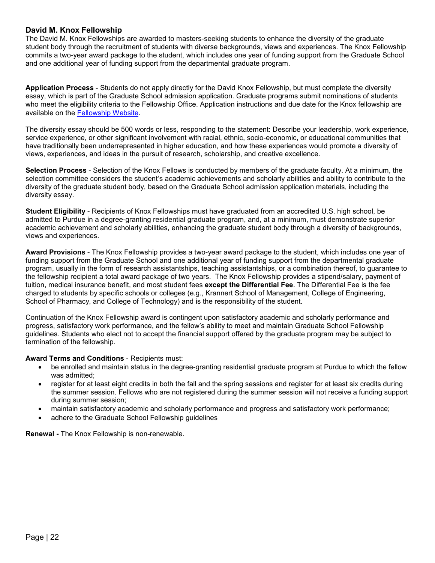#### <span id="page-21-0"></span>**David M. Knox Fellowship**

The David M. Knox Fellowships are awarded to masters-seeking students to enhance the diversity of the graduate student body through the recruitment of students with diverse backgrounds, views and experiences. The Knox Fellowship commits a two-year award package to the student, which includes one year of funding support from the Graduate School and one additional year of funding support from the departmental graduate program.

**Application Process** - Students do not apply directly for the David Knox Fellowship, but must complete the diversity essay, which is part of the Graduate School admission application. Graduate programs submit nominations of students who meet the eligibility criteria to the Fellowship Office. Application instructions and due date for the Knox fellowship are available on the [Fellowship Website.](https://www.purdue.edu/gradschool/fellowship/fellowship-resources-for-staff/managed-fellowships/gs-managed-faculty-nominated-fellowships.html)

The diversity essay should be 500 words or less, responding to the statement: Describe your leadership, work experience, service experience, or other significant involvement with racial, ethnic, socio-economic, or educational communities that have traditionally been underrepresented in higher education, and how these experiences would promote a diversity of views, experiences, and ideas in the pursuit of research, scholarship, and creative excellence.

**Selection Process** - Selection of the Knox Fellows is conducted by members of the graduate faculty. At a minimum, the selection committee considers the student's academic achievements and scholarly abilities and ability to contribute to the diversity of the graduate student body, based on the Graduate School admission application materials, including the diversity essay.

**Student Eligibility** - Recipients of Knox Fellowships must have graduated from an accredited U.S. high school, be admitted to Purdue in a degree-granting residential graduate program, and, at a minimum, must demonstrate superior academic achievement and scholarly abilities, enhancing the graduate student body through a diversity of backgrounds, views and experiences.

**Award Provisions** - The Knox Fellowship provides a two-year award package to the student, which includes one year of funding support from the Graduate School and one additional year of funding support from the departmental graduate program, usually in the form of research assistantships, teaching assistantships, or a combination thereof, to guarantee to the fellowship recipient a total award package of two years. The Knox Fellowship provides a stipend/salary, payment of tuition, medical insurance benefit, and most student fees **except the Differential Fee**. The Differential Fee is the fee charged to students by specific schools or colleges (e.g., Krannert School of Management, College of Engineering, School of Pharmacy, and College of Technology) and is the responsibility of the student.

Continuation of the Knox Fellowship award is contingent upon satisfactory academic and scholarly performance and progress, satisfactory work performance, and the fellow's ability to meet and maintain Graduate School Fellowship guidelines. Students who elect not to accept the financial support offered by the graduate program may be subject to termination of the fellowship.

#### **Award Terms and Conditions** - Recipients must:

- be enrolled and maintain status in the degree-granting residential graduate program at Purdue to which the fellow was admitted;
- register for at least eight credits in both the fall and the spring sessions and register for at least six credits during the summer session. Fellows who are not registered during the summer session will not receive a funding support during summer session;
- maintain satisfactory academic and scholarly performance and progress and satisfactory work performance;
- adhere to the Graduate School Fellowship guidelines

**Renewal -** The Knox Fellowship is non-renewable.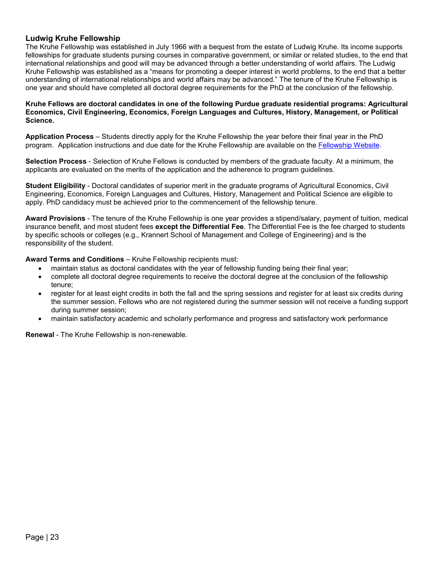#### <span id="page-22-0"></span>**Ludwig Kruhe Fellowship**

The Kruhe Fellowship was established in July 1966 with a bequest from the estate of Ludwig Kruhe. Its income supports fellowships for graduate students pursing courses in comparative government, or similar or related studies, to the end that international relationships and good will may be advanced through a better understanding of world affairs. The Ludwig Kruhe Fellowship was established as a "means for promoting a deeper interest in world problems, to the end that a better understanding of international relationships and world affairs may be advanced." The tenure of the Kruhe Fellowship is one year and should have completed all doctoral degree requirements for the PhD at the conclusion of the fellowship.

#### **Kruhe Fellows are doctoral candidates in one of the following Purdue graduate residential programs: Agricultural Economics, Civil Engineering, Economics, Foreign Languages and Cultures, History, Management, or Political Science.**

**Application Process** – Students directly apply for the Kruhe Fellowship the year before their final year in the PhD program. Application instructions and due date for the Kruhe Fellowship are available on the [Fellowship Website.](https://www.purdue.edu/gradschool/fellowship/fellowship-resources-for-staff/managed-fellowships/gs-managed-student-direct-apply-fellowships.html)

**Selection Process** - Selection of Kruhe Fellows is conducted by members of the graduate faculty. At a minimum, the applicants are evaluated on the merits of the application and the adherence to program guidelines.

**Student Eligibility** - Doctoral candidates of superior merit in the graduate programs of Agricultural Economics, Civil Engineering, Economics, Foreign Languages and Cultures, History, Management and Political Science are eligible to apply. PhD candidacy must be achieved prior to the commencement of the fellowship tenure.

**Award Provisions** - The tenure of the Kruhe Fellowship is one year provides a stipend/salary, payment of tuition, medical insurance benefit, and most student fees **except the Differential Fee**. The Differential Fee is the fee charged to students by specific schools or colleges (e.g., Krannert School of Management and College of Engineering) and is the responsibility of the student.

**Award Terms and Conditions** – Kruhe Fellowship recipients must:

- maintain status as doctoral candidates with the year of fellowship funding being their final year;
- complete all doctoral degree requirements to receive the doctoral degree at the conclusion of the fellowship tenure;
- register for at least eight credits in both the fall and the spring sessions and register for at least six credits during the summer session. Fellows who are not registered during the summer session will not receive a funding support during summer session;
- maintain satisfactory academic and scholarly performance and progress and satisfactory work performance

**Renewal** - The Kruhe Fellowship is non-renewable.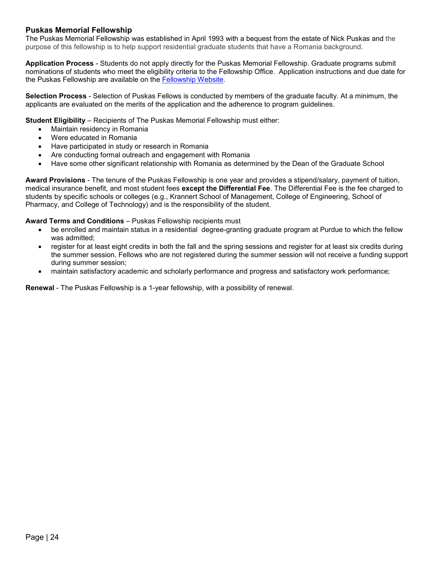# <span id="page-23-0"></span>**Puskas Memorial Fellowship**

The Puskas Memorial Fellowship was established in April 1993 with a bequest from the estate of Nick Puskas and the purpose of this fellowship is to help support residential graduate students that have a Romania background.

**Application Process** - Students do not apply directly for the Puskas Memorial Fellowship. Graduate programs submit nominations of students who meet the eligibility criteria to the Fellowship Office. Application instructions and due date for the Puskas Fellowship are available on the [Fellowship Website.](https://www.purdue.edu/gradschool/fellowship/fellowship-resources-for-staff/managed-fellowships/gs-managed-faculty-nominated-fellowships.html)

**Selection Process** - Selection of Puskas Fellows is conducted by members of the graduate faculty. At a minimum, the applicants are evaluated on the merits of the application and the adherence to program guidelines.

**Student Eligibility** – Recipients of The Puskas Memorial Fellowship must either:

- Maintain residency in Romania
- Were educated in Romania
- Have participated in study or research in Romania
- Are conducting formal outreach and engagement with Romania
- Have some other significant relationship with Romania as determined by the Dean of the Graduate School

**Award Provisions** - The tenure of the Puskas Fellowship is one year and provides a stipend/salary, payment of tuition, medical insurance benefit, and most student fees **except the Differential Fee**. The Differential Fee is the fee charged to students by specific schools or colleges (e.g., Krannert School of Management, College of Engineering, School of Pharmacy, and College of Technology) and is the responsibility of the student.

#### **Award Terms and Conditions** – Puskas Fellowship recipients must

- be enrolled and maintain status in a residential degree-granting graduate program at Purdue to which the fellow was admitted;
- register for at least eight credits in both the fall and the spring sessions and register for at least six credits during the summer session. Fellows who are not registered during the summer session will not receive a funding support during summer session;
- maintain satisfactory academic and scholarly performance and progress and satisfactory work performance;

**Renewal** - The Puskas Fellowship is a 1-year fellowship, with a possibility of renewal.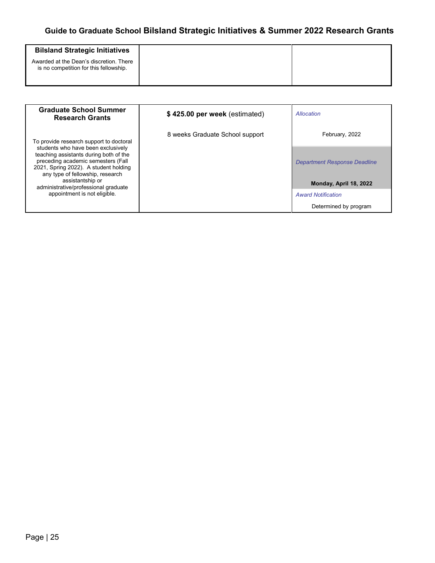# **Guide to Graduate School Bilsland Strategic Initiatives & Summer 2022 Research Grants**

<span id="page-24-0"></span>

| <b>Bilsland Strategic Initiatives</b>                                             |
|-----------------------------------------------------------------------------------|
| Awarded at the Dean's discretion. There<br>is no competition for this fellowship. |

| <b>Graduate School Summer</b><br><b>Research Grants</b>                                                                                                                                         | \$425.00 per week (estimated)   | Allocation                   |
|-------------------------------------------------------------------------------------------------------------------------------------------------------------------------------------------------|---------------------------------|------------------------------|
| To provide research support to doctoral                                                                                                                                                         | 8 weeks Graduate School support | February, 2022               |
| students who have been exclusively<br>teaching assistants during both of the<br>preceding academic semesters (Fall<br>2021, Spring 2022). A student holding<br>any type of fellowship, research |                                 | Department Response Deadline |
| assistantship or<br>administrative/professional graduate<br>appointment is not eligible.                                                                                                        |                                 | Monday, April 18, 2022       |
|                                                                                                                                                                                                 |                                 | <b>Award Notification</b>    |
|                                                                                                                                                                                                 |                                 | Determined by program        |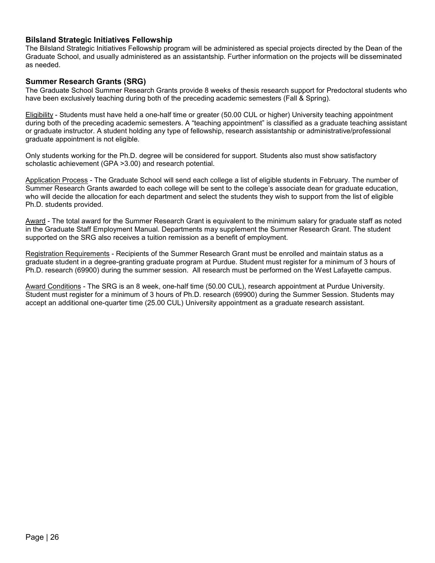#### <span id="page-25-0"></span>**Bilsland Strategic Initiatives Fellowship**

The Bilsland Strategic Initiatives Fellowship program will be administered as special projects directed by the Dean of the Graduate School, and usually administered as an assistantship. Further information on the projects will be disseminated as needed.

#### <span id="page-25-1"></span>**Summer Research Grants (SRG)**

The Graduate School Summer Research Grants provide 8 weeks of thesis research support for Predoctoral students who have been exclusively teaching during both of the preceding academic semesters (Fall & Spring).

Eligibility - Students must have held a one-half time or greater (50.00 CUL or higher) University teaching appointment during both of the preceding academic semesters. A "teaching appointment" is classified as a graduate teaching assistant or graduate instructor. A student holding any type of fellowship, research assistantship or administrative/professional graduate appointment is not eligible.

Only students working for the Ph.D. degree will be considered for support. Students also must show satisfactory scholastic achievement (GPA >3.00) and research potential.

Application Process - The Graduate School will send each college a list of eligible students in February. The number of Summer Research Grants awarded to each college will be sent to the college's associate dean for graduate education, who will decide the allocation for each department and select the students they wish to support from the list of eligible Ph.D. students provided.

Award - The total award for the Summer Research Grant is equivalent to the minimum salary for graduate staff as noted in the Graduate Staff Employment Manual. Departments may supplement the Summer Research Grant. The student supported on the SRG also receives a tuition remission as a benefit of employment.

Registration Requirements - Recipients of the Summer Research Grant must be enrolled and maintain status as a graduate student in a degree-granting graduate program at Purdue. Student must register for a minimum of 3 hours of Ph.D. research (69900) during the summer session. All research must be performed on the West Lafayette campus.

Award Conditions - The SRG is an 8 week, one-half time (50.00 CUL), research appointment at Purdue University. Student must register for a minimum of 3 hours of Ph.D. research (69900) during the Summer Session. Students may accept an additional one-quarter time (25.00 CUL) University appointment as a graduate research assistant.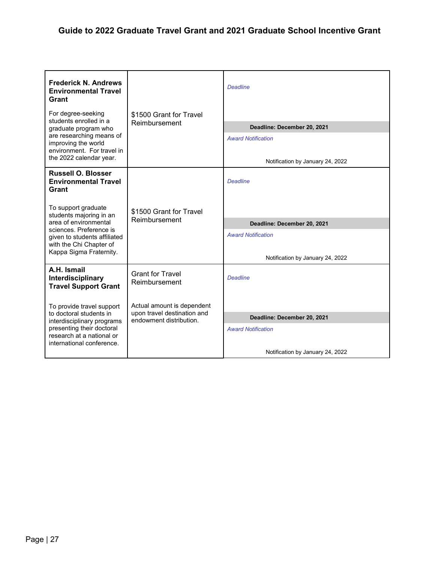<span id="page-26-0"></span>

| <b>Frederick N. Andrews</b><br><b>Environmental Travel</b><br>Grant                                                     |                                                                                      | <b>Deadline</b>                  |
|-------------------------------------------------------------------------------------------------------------------------|--------------------------------------------------------------------------------------|----------------------------------|
| For degree-seeking<br>students enrolled in a<br>graduate program who<br>are researching means of<br>improving the world | \$1500 Grant for Travel<br>Reimbursement                                             |                                  |
|                                                                                                                         |                                                                                      | Deadline: December 20, 2021      |
|                                                                                                                         |                                                                                      | <b>Award Notification</b>        |
| environment. For travel in<br>the 2022 calendar year.                                                                   |                                                                                      | Notification by January 24, 2022 |
| <b>Russell O. Blosser</b><br><b>Environmental Travel</b><br>Grant                                                       |                                                                                      | <b>Deadline</b>                  |
| To support graduate<br>students majoring in an                                                                          | \$1500 Grant for Travel<br>Reimbursement                                             |                                  |
| area of environmental                                                                                                   |                                                                                      | Deadline: December 20, 2021      |
| sciences. Preference is<br>given to students affiliated<br>with the Chi Chapter of<br>Kappa Sigma Fraternity.           |                                                                                      | <b>Award Notification</b>        |
|                                                                                                                         |                                                                                      | Notification by January 24, 2022 |
| A.H. Ismail<br>Interdisciplinary<br><b>Travel Support Grant</b>                                                         | <b>Grant for Travel</b><br>Reimbursement                                             | <b>Deadline</b>                  |
| To provide travel support                                                                                               | Actual amount is dependent<br>upon travel destination and<br>endowment distribution. |                                  |
| to doctoral students in<br>interdisciplinary programs                                                                   |                                                                                      | Deadline: December 20, 2021      |
| presenting their doctoral<br>research at a national or                                                                  |                                                                                      | <b>Award Notification</b>        |
| international conference.                                                                                               |                                                                                      | Notification by January 24, 2022 |